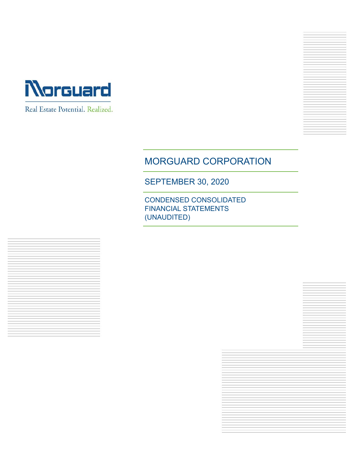

Real Estate Potential. Realized.

# MORGUARD CORPORATION

SEPTEMBER 30, 2020

CONDENSED CONSOLIDATED FINANCIAL STATEMENTS (UNAUDITED)

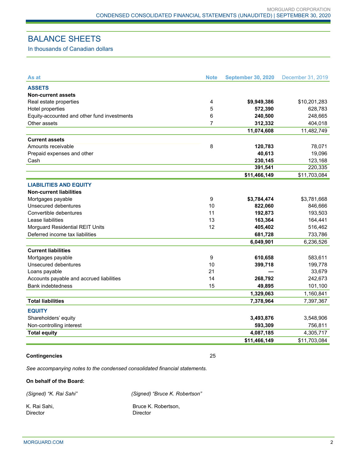## BALANCE SHEETS

In thousands of Canadian dollars

| As at                                       | <b>Note</b> | <b>September 30, 2020</b> | December 31, 2019 |
|---------------------------------------------|-------------|---------------------------|-------------------|
| <b>ASSETS</b>                               |             |                           |                   |
| <b>Non-current assets</b>                   |             |                           |                   |
| Real estate properties                      | 4           | \$9,949,386               | \$10,201,283      |
| Hotel properties                            | 5           | 572,390                   | 628,783           |
| Equity-accounted and other fund investments | 6           | 240,500                   | 248,665           |
| Other assets                                | 7           | 312,332                   | 404,018           |
|                                             |             | 11,074,608                | 11,482,749        |
| <b>Current assets</b>                       |             |                           |                   |
| Amounts receivable                          | 8           | 120,783                   | 78,071            |
| Prepaid expenses and other                  |             | 40,613                    | 19,096            |
| Cash                                        |             | 230,145                   | 123,168           |
|                                             |             | 391,541                   | 220,335           |
|                                             |             | \$11,466,149              | \$11,703,084      |
| <b>LIABILITIES AND EQUITY</b>               |             |                           |                   |
| <b>Non-current liabilities</b>              |             |                           |                   |
| Mortgages payable                           | 9           | \$3,784,474               | \$3,781,668       |
| Unsecured debentures                        | 10          | 822,060                   | 846,666           |
| Convertible debentures                      | 11          | 192,873                   | 193,503           |
| Lease liabilities                           | 13          | 163,364                   | 164,441           |
| Morguard Residential REIT Units             | 12          | 405,402                   | 516,462           |
| Deferred income tax liabilities             |             | 681,728                   | 733,786           |
|                                             |             | 6,049,901                 | 6,236,526         |
| <b>Current liabilities</b>                  |             |                           |                   |
| Mortgages payable                           | 9           | 610,658                   | 583,611           |
| Unsecured debentures                        | 10          | 399,718                   | 199,778           |
| Loans payable                               | 21          |                           | 33,679            |
| Accounts payable and accrued liabilities    | 14          | 268,792                   | 242,673           |
| <b>Bank indebtedness</b>                    | 15          | 49,895                    | 101,100           |
|                                             |             | 1,329,063                 | 1,160,841         |
| <b>Total liabilities</b>                    |             | 7,378,964                 | 7,397,367         |
| <b>EQUITY</b>                               |             |                           |                   |
| Shareholders' equity                        |             | 3,493,876                 | 3,548,906         |
| Non-controlling interest                    |             | 593,309                   | 756,811           |
| <b>Total equity</b>                         |             | 4,087,185                 | 4,305,717         |
|                                             |             | \$11,466,149              | \$11,703,084      |

#### **Contingencies** 25

*See accompanying notes to the condensed consolidated financial statements.*

**On behalf of the Board:**

*(Signed) "K. Rai Sahi" (Signed) "Bruce K. Robertson"* 

Director Director

K. Rai Sahi, **Bruce K. Robertson**,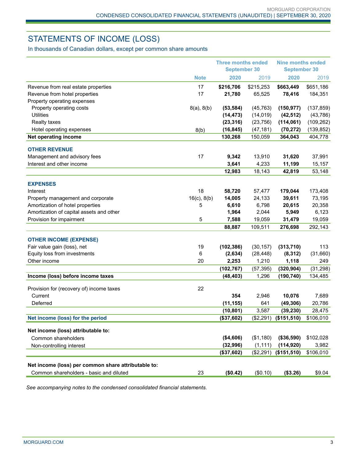# STATEMENTS OF INCOME (LOSS)

In thousands of Canadian dollars, except per common share amounts

|                                                     |                  | <b>Three months ended</b><br><b>September 30</b> |           | <b>Nine months ended</b> |            |
|-----------------------------------------------------|------------------|--------------------------------------------------|-----------|--------------------------|------------|
|                                                     |                  |                                                  |           | <b>September 30</b>      |            |
|                                                     | <b>Note</b>      | 2020                                             | 2019      | 2020                     | 2019       |
| Revenue from real estate properties                 | 17               | \$216,706                                        | \$215,253 | \$663,449                | \$651,186  |
| Revenue from hotel properties                       | 17               | 21,780                                           | 65,525    | 78,416                   | 184,351    |
| Property operating expenses                         |                  |                                                  |           |                          |            |
| Property operating costs                            | 8(a), 8(b)       | (53, 584)                                        | (45, 763) | (150, 977)               | (137, 859) |
| <b>Utilities</b>                                    |                  | (14, 473)                                        | (14, 019) | (42, 512)                | (43, 786)  |
| <b>Realty taxes</b>                                 |                  | (23, 316)                                        | (23, 756) | (114, 061)               | (109, 262) |
| Hotel operating expenses                            | 8(b)             | (16, 845)                                        | (47, 181) | (70, 272)                | (139, 852) |
| Net operating income                                |                  | 130,268                                          | 150,059   | 364,043                  | 404,778    |
| <b>OTHER REVENUE</b>                                |                  |                                                  |           |                          |            |
| Management and advisory fees                        | 17               | 9,342                                            | 13,910    | 31,620                   | 37,991     |
| Interest and other income                           |                  | 3,641                                            | 4,233     | 11,199                   | 15,157     |
|                                                     |                  | 12,983                                           | 18,143    | 42,819                   | 53,148     |
| <b>EXPENSES</b>                                     |                  |                                                  |           |                          |            |
| Interest                                            | 18               | 58,720                                           | 57,477    | 179,044                  | 173,408    |
| Property management and corporate                   | $16(c)$ , $8(b)$ | 14,005                                           | 24,133    | 39,611                   | 73,195     |
| Amortization of hotel properties                    | 5                | 6,610                                            | 6,798     | 20,615                   | 20,358     |
| Amortization of capital assets and other            |                  | 1,964                                            | 2,044     | 5,949                    | 6,123      |
| Provision for impairment                            | 5                | 7,588                                            | 19,059    | 31,479                   | 19,059     |
|                                                     |                  | 88,887                                           | 109,511   | 276,698                  | 292,143    |
| <b>OTHER INCOME (EXPENSE)</b>                       |                  |                                                  |           |                          |            |
| Fair value gain (loss), net                         | 19               | (102, 386)                                       | (30, 157) | (313, 710)               | 113        |
| Equity loss from investments                        | 6                | (2,634)                                          | (28, 448) | (8, 312)                 | (31,660)   |
| Other income                                        | 20               | 2,253                                            | 1,210     | 1,118                    | 249        |
|                                                     |                  | (102, 767)                                       | (57, 395) | (320, 904)               | (31, 298)  |
| Income (loss) before income taxes                   |                  | (48, 403)                                        | 1,296     | (190, 740)               | 134,485    |
| Provision for (recovery of) income taxes            | 22               |                                                  |           |                          |            |
| Current                                             |                  | 354                                              | 2,946     | 10,076                   | 7,689      |
| Deferred                                            |                  | (11, 155)                                        | 641       | (49, 306)                | 20,786     |
|                                                     |                  | (10, 801)                                        | 3,587     | (39, 230)                | 28,475     |
| Net income (loss) for the period                    |                  | (\$37,602)                                       |           | $($2,291)$ $($151,510)$  | \$106,010  |
| Net income (loss) attributable to:                  |                  |                                                  |           |                          |            |
| Common shareholders                                 |                  | (\$4,606)                                        | (\$1,180) | (\$36,590)               | \$102,028  |
| Non-controlling interest                            |                  | (32, 996)                                        | (1, 111)  | (114, 920)               | 3,982      |
|                                                     |                  | (\$37,602)                                       | (\$2,291) | (\$151,510)              | \$106,010  |
|                                                     |                  |                                                  |           |                          |            |
| Net income (loss) per common share attributable to: |                  |                                                  |           |                          |            |
| Common shareholders - basic and diluted             | 23               | (\$0.42)                                         | (\$0.10)  | (\$3.26)                 | \$9.04     |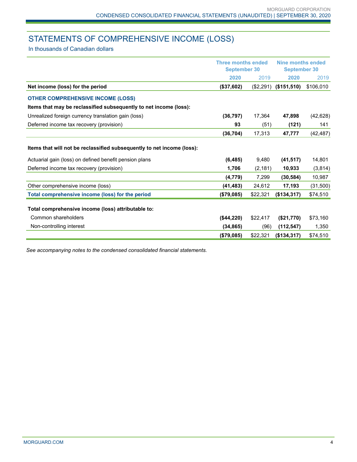# STATEMENTS OF COMPREHENSIVE INCOME (LOSS)

In thousands of Canadian dollars

|                                                                        | Three months ended<br><b>September 30</b> |           | Nine months ended<br><b>September 30</b> |           |
|------------------------------------------------------------------------|-------------------------------------------|-----------|------------------------------------------|-----------|
|                                                                        | 2020                                      | 2019      | 2020                                     | 2019      |
| Net income (loss) for the period                                       | (\$37,602)                                | (\$2,291) | (\$151,510)                              | \$106,010 |
| <b>OTHER COMPREHENSIVE INCOME (LOSS)</b>                               |                                           |           |                                          |           |
| Items that may be reclassified subsequently to net income (loss):      |                                           |           |                                          |           |
| Unrealized foreign currency translation gain (loss)                    | (36, 797)                                 | 17,364    | 47,898                                   | (42, 628) |
| Deferred income tax recovery (provision)                               | 93                                        | (51)      | (121)                                    | 141       |
|                                                                        | (36, 704)                                 | 17,313    | 47,777                                   | (42, 487) |
| Items that will not be reclassified subsequently to net income (loss): |                                           |           |                                          |           |
| Actuarial gain (loss) on defined benefit pension plans                 | (6, 485)                                  | 9,480     | (41, 517)                                | 14,801    |
| Deferred income tax recovery (provision)                               | 1,706                                     | (2, 181)  | 10,933                                   | (3,814)   |
|                                                                        | (4, 779)                                  | 7,299     | (30, 584)                                | 10,987    |
| Other comprehensive income (loss)                                      | (41, 483)                                 | 24,612    | 17,193                                   | (31,500)  |
| Total comprehensive income (loss) for the period                       | (\$79,085)                                | \$22,321  | (\$134,317)                              | \$74,510  |
| Total comprehensive income (loss) attributable to:                     |                                           |           |                                          |           |
| Common shareholders                                                    | (\$44,220)                                | \$22,417  | (\$21,770)                               | \$73,160  |
| Non-controlling interest                                               | (34, 865)                                 | (96)      | (112, 547)                               | 1,350     |
|                                                                        | (\$79,085)                                | \$22,321  | (\$134,317)                              | \$74,510  |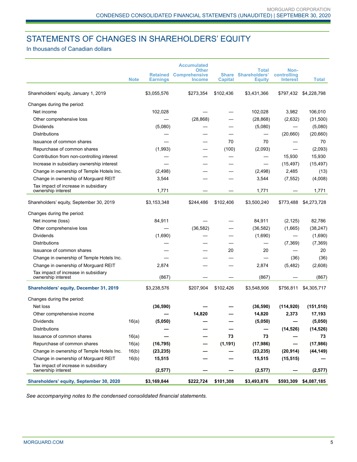## STATEMENTS OF CHANGES IN SHAREHOLDERS' EQUITY

In thousands of Canadian dollars

|                                                            | <b>Note</b> | <b>Earnings</b> | <b>Accumulated</b><br><b>Other</b><br><b>Retained Comprehensive</b><br><b>Income</b> | <b>Share</b><br><b>Capital</b> | <b>Total</b><br><b>Shareholders'</b><br><b>Equity</b> | Non-<br>controlling<br><b>Interest</b> | <b>Total</b> |
|------------------------------------------------------------|-------------|-----------------|--------------------------------------------------------------------------------------|--------------------------------|-------------------------------------------------------|----------------------------------------|--------------|
| Shareholders' equity, January 1, 2019                      |             | \$3,055,576     | \$273,354                                                                            | \$102,436                      | \$3,431,366                                           | \$797,432                              | \$4,228,798  |
| Changes during the period:                                 |             |                 |                                                                                      |                                |                                                       |                                        |              |
| Net income                                                 |             | 102,028         |                                                                                      |                                | 102,028                                               | 3,982                                  | 106,010      |
| Other comprehensive loss                                   |             |                 | (28, 868)                                                                            |                                | (28, 868)                                             | (2,632)                                | (31,500)     |
| <b>Dividends</b>                                           |             | (5,080)         |                                                                                      |                                | (5,080)                                               |                                        | (5,080)      |
| <b>Distributions</b>                                       |             |                 |                                                                                      |                                |                                                       | (20, 660)                              | (20, 660)    |
| Issuance of common shares                                  |             |                 |                                                                                      | 70                             | 70                                                    |                                        | 70           |
| Repurchase of common shares                                |             | (1,993)         |                                                                                      | (100)                          | (2,093)                                               |                                        | (2,093)      |
| Contribution from non-controlling interest                 |             |                 |                                                                                      |                                |                                                       | 15,930                                 | 15,930       |
| Increase in subsidiary ownership interest                  |             |                 |                                                                                      |                                |                                                       | (15, 497)                              | (15, 497)    |
| Change in ownership of Temple Hotels Inc.                  |             | (2, 498)        |                                                                                      |                                | (2, 498)                                              | 2,485                                  | (13)         |
| Change in ownership of Morguard REIT                       |             | 3,544           |                                                                                      |                                | 3,544                                                 | (7, 552)                               | (4,008)      |
| Tax impact of increase in subsidiary<br>ownership interest |             | 1,771           |                                                                                      |                                | 1,771                                                 |                                        | 1,771        |
| Shareholders' equity, September 30, 2019                   |             | \$3,153,348     | \$244,486                                                                            | \$102,406                      | \$3,500,240                                           | \$773,488                              | \$4,273,728  |
| Changes during the period:                                 |             |                 |                                                                                      |                                |                                                       |                                        |              |
| Net income (loss)                                          |             | 84,911          |                                                                                      |                                | 84,911                                                | (2, 125)                               | 82,786       |
| Other comprehensive loss                                   |             |                 | (36, 582)                                                                            |                                | (36, 582)                                             | (1,665)                                | (38, 247)    |
| <b>Dividends</b>                                           |             | (1,690)         |                                                                                      |                                | (1,690)                                               |                                        | (1,690)      |
| <b>Distributions</b>                                       |             |                 |                                                                                      |                                |                                                       | (7,369)                                | (7, 369)     |
| Issuance of common shares                                  |             |                 |                                                                                      | 20                             | 20                                                    |                                        | 20           |
| Change in ownership of Temple Hotels Inc.                  |             |                 |                                                                                      |                                |                                                       | (36)                                   | (36)         |
| Change in ownership of Morguard REIT                       |             | 2,874           |                                                                                      |                                | 2,874                                                 | (5, 482)                               | (2,608)      |
| Tax impact of increase in subsidiary                       |             |                 |                                                                                      |                                |                                                       |                                        |              |
| ownership interest                                         |             | (867)           |                                                                                      |                                | (867)                                                 |                                        | (867)        |
| Shareholders' equity, December 31, 2019                    |             | \$3,238,576     | \$207,904                                                                            | \$102,426                      | \$3,548,906                                           | \$756,811                              | \$4,305,717  |
| Changes during the period:                                 |             |                 |                                                                                      |                                |                                                       |                                        |              |
| Net loss                                                   |             | (36, 590)       |                                                                                      |                                | (36, 590)                                             | (114, 920)                             | (151, 510)   |
| Other comprehensive income                                 |             |                 | 14,820                                                                               |                                | 14,820                                                | 2,373                                  | 17,193       |
| Dividends                                                  | 16(a)       | (5,050)         |                                                                                      |                                | (5,050)                                               |                                        | (5,050)      |
| Distributions                                              |             |                 |                                                                                      |                                |                                                       | (14, 526)                              | (14, 526)    |
| Issuance of common shares                                  | 16(a)       |                 |                                                                                      | 73                             | 73                                                    |                                        | 73           |
| Repurchase of common shares                                | 16(a)       | (16, 795)       |                                                                                      | (1, 191)                       | (17, 986)                                             |                                        | (17, 986)    |
| Change in ownership of Temple Hotels Inc.                  | 16(b)       | (23, 235)       |                                                                                      |                                | (23, 235)                                             | (20, 914)                              | (44, 149)    |
| Change in ownership of Morguard REIT                       | 16(b)       | 15,515          |                                                                                      |                                | 15,515                                                | (15, 515)                              |              |
| Tax impact of increase in subsidiary<br>ownership interest |             | (2, 577)        |                                                                                      |                                | (2, 577)                                              |                                        | (2, 577)     |
| Shareholders' equity, September 30, 2020                   |             | \$3,169,844     | \$222,724                                                                            | \$101,308                      | \$3,493,876                                           | \$593,309                              | \$4,087,185  |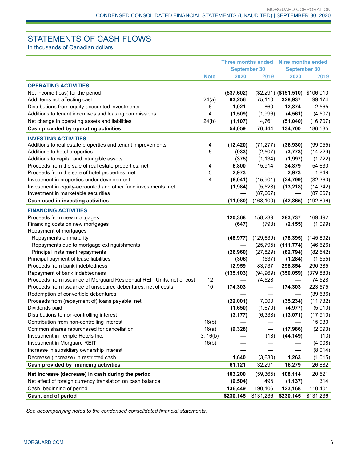## STATEMENTS OF CASH FLOWS

In thousands of Canadian dollars

|                                                                        |                         | <b>Three months ended</b> |            | Nine months ended               |            |  |
|------------------------------------------------------------------------|-------------------------|---------------------------|------------|---------------------------------|------------|--|
|                                                                        |                         | <b>September 30</b>       |            | <b>September 30</b>             |            |  |
|                                                                        | <b>Note</b>             | 2020                      | 2019       | 2020                            | 2019       |  |
| <b>OPERATING ACTIVITIES</b>                                            |                         |                           |            |                                 |            |  |
| Net income (loss) for the period                                       |                         | (\$37,602)                |            | (\$2,291) (\$151,510) \$106,010 |            |  |
| Add items not affecting cash                                           | 24(a)                   | 93,256                    | 75,110     | 328,937                         | 99,174     |  |
| Distributions from equity-accounted investments                        | 6                       | 1,021                     | 860        | 12,874                          | 2,565      |  |
| Additions to tenant incentives and leasing commissions                 | 4                       | (1,509)                   | (1,996)    | (4, 561)                        | (4,507)    |  |
| Net change in operating assets and liabilities                         | 24(b)                   | (1, 107)                  | 4,761      | (51,040)                        | (16, 707)  |  |
| Cash provided by operating activities                                  |                         | 54,059                    | 76,444     | 134,700                         | 186,535    |  |
| <b>INVESTING ACTIVITIES</b>                                            |                         |                           |            |                                 |            |  |
| Additions to real estate properties and tenant improvements            | $\overline{\mathbf{4}}$ | (12, 420)                 | (71, 277)  | (36, 930)                       | (99,055)   |  |
| Additions to hotel properties                                          | 5                       | (933)                     | (2,507)    | (3, 773)                        | (14, 229)  |  |
| Additions to capital and intangible assets                             |                         | (375)                     | (1, 134)   | (1,997)                         | (1, 722)   |  |
| Proceeds from the sale of real estate properties, net                  | 4                       | 6,800                     | 15,914     | 34,879                          | 54,630     |  |
| Proceeds from the sale of hotel properties, net                        | 5                       | 2,973                     |            | 2,973                           | 1,849      |  |
| Investment in properties under development                             | 4                       | (6,041)                   | (15,901)   | (24, 799)                       | (32, 360)  |  |
| Investment in equity-accounted and other fund investments, net         |                         | (1,984)                   | (5, 528)   | (13, 218)                       | (14, 342)  |  |
| Investment in marketable securities                                    |                         |                           | (87, 667)  | —                               | (87, 667)  |  |
| Cash used in investing activities                                      |                         | (11,980)                  | (168, 100) | (42, 865)                       | (192, 896) |  |
| <b>FINANCING ACTIVITIES</b>                                            |                         |                           |            |                                 |            |  |
| Proceeds from new mortgages                                            |                         | 120,368                   | 158,239    | 283,737                         | 169,492    |  |
| Financing costs on new mortgages                                       |                         | (647)                     | (793)      | (2, 155)                        | (1,099)    |  |
| Repayment of mortgages                                                 |                         |                           |            |                                 |            |  |
| Repayments on maturity                                                 |                         | (48, 977)                 | (129, 639) | (78, 395)                       | (145, 892) |  |
| Repayments due to mortgage extinguishments                             |                         |                           | (25, 795)  | (111, 774)                      | (46, 626)  |  |
| Principal instalment repayments                                        |                         | (26,960)                  | (27, 829)  | (82, 794)                       | (82, 542)  |  |
| Principal payment of lease liabilities                                 |                         | (306)                     | (537)      | (1, 284)                        | (1, 555)   |  |
| Proceeds from bank indebtedness                                        |                         | 12,959                    | 83,737     | 298,854                         | 290,385    |  |
| Repayment of bank indebtedness                                         |                         | (135, 103)                | (94, 969)  | (350, 059)                      | (379, 883) |  |
| Proceeds from issuance of Morguard Residential REIT Units, net of cost | 12                      |                           | 74,528     | —                               | 74,528     |  |
| Proceeds from issuance of unsecured debentures, net of costs           | 10                      | 174,303                   |            | 174,303                         | 223,575    |  |
| Redemption of convertible debentures                                   |                         |                           |            |                                 | (39, 636)  |  |
| Proceeds from (repayment of) loans payable, net                        |                         | (22,001)                  | 7,000      | (35, 234)                       | (11, 732)  |  |
| Dividends paid                                                         |                         | (1,650)                   | (1,670)    | (4, 977)                        | (5,010)    |  |
| Distributions to non-controlling interest                              |                         | (3, 177)                  | (6,338)    | (13,071)                        | (17, 910)  |  |
| Contribution from non-controlling interest                             | 16(b)                   |                           |            |                                 | 15,930     |  |
| Common shares repurchased for cancellation                             | 16(a)                   | (9, 328)                  | —          | (17, 986)                       | (2,093)    |  |
| Investment in Temple Hotels Inc.                                       | 3, 16(b)                |                           | (13)       | (44, 149)                       | (13)       |  |
| Investment in Morguard REIT                                            | 16(b)                   |                           |            |                                 | (4,008)    |  |
| Increase in subsidiary ownership interest                              |                         |                           |            |                                 | (8,014)    |  |
| Decrease (increase) in restricted cash                                 |                         | 1,640                     | (3,630)    | 1,263                           | (1,015)    |  |
| Cash provided by financing activities                                  |                         | 61,121                    | 32,291     | 16,279                          | 26,882     |  |
| Net increase (decrease) in cash during the period                      |                         | 103,200                   | (59, 365)  | 108,114                         | 20,521     |  |
| Net effect of foreign currency translation on cash balance             |                         | (9, 504)                  | 495        | (1, 137)                        | 314        |  |
| Cash, beginning of period                                              |                         | 136,449                   | 190,106    | 123,168                         | 110,401    |  |
| Cash, end of period                                                    |                         | \$230,145                 | \$131,236  | \$230,145                       | \$131,236  |  |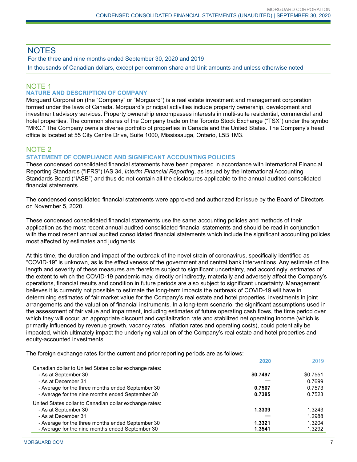## **NOTES**

For the three and nine months ended September 30, 2020 and 2019 In thousands of Canadian dollars, except per common share and Unit amounts and unless otherwise noted

# NOTE 1

## **NATURE AND DESCRIPTION OF COMPANY**

Morguard Corporation (the "Company" or "Morguard") is a real estate investment and management corporation formed under the laws of Canada. Morguard's principal activities include property ownership, development and investment advisory services. Property ownership encompasses interests in multi-suite residential, commercial and hotel properties. The common shares of the Company trade on the Toronto Stock Exchange ("TSX") under the symbol "MRC." The Company owns a diverse portfolio of properties in Canada and the United States. The Company's head office is located at 55 City Centre Drive, Suite 1000, Mississauga, Ontario, L5B 1M3.

## NOTE 2

#### **STATEMENT OF COMPLIANCE AND SIGNIFICANT ACCOUNTING POLICIES**

These condensed consolidated financial statements have been prepared in accordance with International Financial Reporting Standards ("IFRS") IAS 34, *Interim Financial Reporting*, as issued by the International Accounting Standards Board ("IASB") and thus do not contain all the disclosures applicable to the annual audited consolidated financial statements.

The condensed consolidated financial statements were approved and authorized for issue by the Board of Directors on November 5, 2020.

These condensed consolidated financial statements use the same accounting policies and methods of their application as the most recent annual audited consolidated financial statements and should be read in conjunction with the most recent annual audited consolidated financial statements which include the significant accounting policies most affected by estimates and judgments.

At this time, the duration and impact of the outbreak of the novel strain of coronavirus, specifically identified as "COVID-19" is unknown, as is the effectiveness of the government and central bank interventions. Any estimate of the length and severity of these measures are therefore subject to significant uncertainty, and accordingly, estimates of the extent to which the COVID-19 pandemic may, directly or indirectly, materially and adversely affect the Company's operations, financial results and condition in future periods are also subject to significant uncertainty. Management believes it is currently not possible to estimate the long-term impacts the outbreak of COVID-19 will have in determining estimates of fair market value for the Company's real estate and hotel properties, investments in joint arrangements and the valuation of financial instruments. In a long-term scenario, the significant assumptions used in the assessment of fair value and impairment, including estimates of future operating cash flows, the time period over which they will occur, an appropriate discount and capitalization rate and stabilized net operating income (which is primarily influenced by revenue growth, vacancy rates, inflation rates and operating costs), could potentially be impacted, which ultimately impact the underlying valuation of the Company's real estate and hotel properties and equity-accounted investments.

The foreign exchange rates for the current and prior reporting periods are as follows:

|                                                         | 2020     | 2019     |
|---------------------------------------------------------|----------|----------|
| Canadian dollar to United States dollar exchange rates: |          |          |
| - As at September 30                                    | \$0.7497 | \$0.7551 |
| - As at December 31                                     |          | 0.7699   |
| - Average for the three months ended September 30       | 0.7507   | 0.7573   |
| - Average for the nine months ended September 30        | 0.7385   | 0.7523   |
| United States dollar to Canadian dollar exchange rates: |          |          |
| - As at September 30                                    | 1.3339   | 1.3243   |
| - As at December 31                                     |          | 1.2988   |
| - Average for the three months ended September 30       | 1.3321   | 1.3204   |
| - Average for the nine months ended September 30        | 1.3541   | 1.3292   |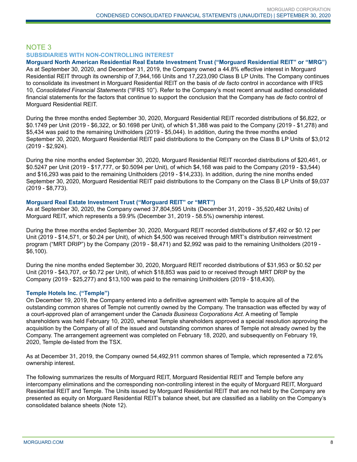## NOTE 3 **SUBSIDIARIES WITH NON-CONTROLLING INTEREST**

**Morguard North American Residential Real Estate Investment Trust ("Morguard Residential REIT" or "MRG")** As at September 30, 2020, and December 31, 2019, the Company owned a 44.8% effective interest in Morguard Residential REIT through its ownership of 7,944,166 Units and 17,223,090 Class B LP Units. The Company continues to consolidate its investment in Morguard Residential REIT on the basis of *de facto* control in accordance with IFRS 10, *Consolidated Financial Statements* ("IFRS 10"). Refer to the Company's most recent annual audited consolidated financial statements for the factors that continue to support the conclusion that the Company has *de facto* control of Morguard Residential REIT.

During the three months ended September 30, 2020, Morguard Residential REIT recorded distributions of \$6,822, or \$0.1749 per Unit (2019 - \$6,322, or \$0.1698 per Unit), of which \$1,388 was paid to the Company (2019 - \$1,278) and \$5,434 was paid to the remaining Unitholders (2019 - \$5,044). In addition, during the three months ended September 30, 2020, Morguard Residential REIT paid distributions to the Company on the Class B LP Units of \$3,012 (2019 - \$2,924).

During the nine months ended September 30, 2020, Morguard Residential REIT recorded distributions of \$20,461, or \$0.5247 per Unit (2019 - \$17,777, or \$0.5094 per Unit), of which \$4,168 was paid to the Company (2019 - \$3,544) and \$16,293 was paid to the remaining Unitholders (2019 - \$14,233). In addition, during the nine months ended September 30, 2020, Morguard Residential REIT paid distributions to the Company on the Class B LP Units of \$9,037 (2019 - \$8,773).

#### **Morguard Real Estate Investment Trust ("Morguard REIT" or "MRT")**

As at September 30, 2020, the Company owned 37,804,595 Units (December 31, 2019 - 35,520,482 Units) of Morguard REIT, which represents a 59.9% (December 31, 2019 - 58.5%) ownership interest.

During the three months ended September 30, 2020, Morguard REIT recorded distributions of \$7,492 or \$0.12 per Unit (2019 - \$14,571, or \$0.24 per Unit), of which \$4,500 was received through MRT's distribution reinvestment program ("MRT DRIP") by the Company (2019 - \$8,471) and \$2,992 was paid to the remaining Unitholders (2019 - \$6,100).

During the nine months ended September 30, 2020, Morguard REIT recorded distributions of \$31,953 or \$0.52 per Unit (2019 - \$43,707, or \$0.72 per Unit), of which \$18,853 was paid to or received through MRT DRIP by the Company (2019 - \$25,277) and \$13,100 was paid to the remaining Unitholders (2019 - \$18,430).

### **Temple Hotels Inc. ("Temple")**

On December 19, 2019, the Company entered into a definitive agreement with Temple to acquire all of the outstanding common shares of Temple not currently owned by the Company. The transaction was effected by way of a court-approved plan of arrangement under the *Canada Business Corporations Act*. A meeting of Temple shareholders was held February 10, 2020, whereat Temple shareholders approved a special resolution approving the acquisition by the Company of all of the issued and outstanding common shares of Temple not already owned by the Company. The arrangement agreement was completed on February 18, 2020, and subsequently on February 19, 2020, Temple de-listed from the TSX.

As at December 31, 2019, the Company owned 54,492,911 common shares of Temple, which represented a 72.6% ownership interest.

The following summarizes the results of Morguard REIT, Morguard Residential REIT and Temple before any intercompany eliminations and the corresponding non-controlling interest in the equity of Morguard REIT, Morguard Residential REIT and Temple. The Units issued by Morguard Residential REIT that are not held by the Company are presented as equity on Morguard Residential REIT's balance sheet, but are classified as a liability on the Company's consolidated balance sheets (Note 12).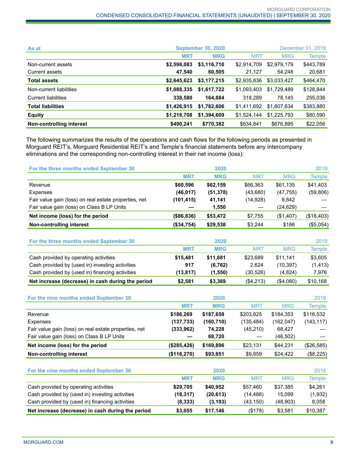| As at                      |             | <b>September 30, 2020</b> |             |             | December 31, 2019 |
|----------------------------|-------------|---------------------------|-------------|-------------|-------------------|
|                            | <b>MRT</b>  | <b>MRG</b>                | <b>MRT</b>  | <b>MRG</b>  | Temple            |
| Non-current assets         | \$2,598,083 | \$3,116,710               | \$2,914,709 | \$2,979,179 | \$443,789         |
| Current assets             | 47.540      | 60,505                    | 21.127      | 54,248      | 20,681            |
| <b>Total assets</b>        | \$2,645,623 | \$3,177,215               | \$2,935,836 | \$3,033,427 | \$464,470         |
| Non-current liabilities    | \$1,088,335 | \$1,617,722               | \$1,093,403 | \$1,729,489 | \$128,844         |
| <b>Current liabilities</b> | 338,580     | 164,884                   | 318.289     | 78,145      | 255,036           |
| <b>Total liabilities</b>   | \$1,426,915 | \$1,782,606               | \$1,411,692 | \$1,807,634 | \$383,880         |
| <b>Equity</b>              | \$1,218,708 | \$1,394,609               | \$1,524,144 | \$1,225,793 | \$80,590          |
| Non-controlling interest   | \$490,241   | \$770,382                 | \$634,841   | \$676,895   | \$22,056          |

The following summarizes the results of the operations and cash flows for the following periods as presented in Morguard REIT's, Morguard Residential REIT's and Temple's financial statements before any intercompany eliminations and the corresponding non-controlling interest in their net income (loss):

| For the three months ended September 30                           |                         | 2020                    |                         |                      | 2019          |
|-------------------------------------------------------------------|-------------------------|-------------------------|-------------------------|----------------------|---------------|
|                                                                   | <b>MRT</b>              | <b>MRG</b>              | <b>MRT</b>              | <b>MRG</b>           | <b>Temple</b> |
| Revenue                                                           | \$60,596                | \$62,159                | \$66,363                | \$61,135             | \$41,403      |
| <b>Expenses</b>                                                   | (46, 017)               | (51, 378)               | (43,680)                | (47, 755)            | (59, 806)     |
| Fair value gain (loss) on real estate properties, net             | (101, 415)              | 41,141                  | (14, 928)               | 9,842                |               |
| Fair value gain (loss) on Class B LP Units                        |                         | 1,550                   |                         | (24, 629)            |               |
| Net income (loss) for the period                                  | (\$86, 836)             | \$53,472                | \$7,755                 | (\$1,407)            | (\$18,403)    |
| <b>Non-controlling interest</b>                                   | (\$34,754)              | \$29,538                | \$3,244                 | \$186                | (\$5,054)     |
| For the three months ended September 30                           |                         | 2020                    |                         |                      | 2019          |
|                                                                   | <b>MRT</b>              | <b>MRG</b>              | <b>MRT</b>              | <b>MRG</b>           | <b>Temple</b> |
| Cash provided by operating activities                             | \$15,481                | \$11,681                | \$23,689                | \$11,141             | \$3,605       |
| Cash provided by (used in) investing activities                   | 917                     | (6, 762)                | 2,624                   | (10, 397)            | (1, 413)      |
| Cash provided by (used in) financing activities                   | (13, 817)               | (1, 550)                | (30, 526)               | (4, 824)             | 7,976         |
| Net increase (decrease) in cash during the period                 | \$2,581                 | \$3,369                 | (\$4,213)               | (\$4,080)            | \$10,168      |
| For the nine months ended September 30                            |                         | 2020                    |                         |                      | 2019          |
|                                                                   | <b>MRT</b>              | <b>MRG</b>              | <b>MRT</b>              | <b>MRG</b>           |               |
|                                                                   |                         |                         |                         |                      | <b>Temple</b> |
| Revenue                                                           | \$186,269               | \$187,658<br>(160, 710) | \$203,825               | \$184,353            | \$116,532     |
| Expenses<br>Fair value gain (loss) on real estate properties, net | (137, 733)<br>(333,962) | 74,228                  | (135, 484)<br>(45, 210) | (162, 047)<br>68,427 | (143, 117)    |
| Fair value gain (loss) on Class B LP Units                        |                         | 68,720                  |                         | (46, 502)            |               |
| Net income (loss) for the period                                  | (\$285,426)             | \$169,896               | \$23,131                | \$44,231             | (\$26,585)    |
| <b>Non-controlling interest</b>                                   | (\$116,270)             | \$93,851                | \$9,859                 | \$24,422             | (\$8,225)     |
|                                                                   |                         |                         |                         |                      |               |
| For the nine months ended September 30                            |                         | 2020                    |                         |                      | 2019          |
|                                                                   | <b>MRT</b>              | <b>MRG</b>              | <b>MRT</b>              | <b>MRG</b>           | <b>Temple</b> |
| Cash provided by operating activities                             | \$29,705                | \$40,952                | \$57,460                | \$37,385             | \$4,261       |
| Cash provided by (used in) investing activities                   | (18, 317)               | (20, 613)               | (14, 488)               | 15,099               | (1,932)       |
| Cash provided by (used in) financing activities                   | (8, 333)                | (3, 193)                | (43, 150)               | (48,903)             | 8,058         |
| Net increase (decrease) in cash during the period                 | \$3,055                 | \$17,146                | (\$178)                 | \$3,581              | \$10,387      |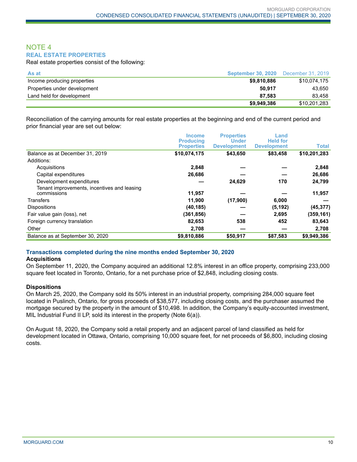### NOTE 4 **REAL ESTATE PROPERTIES**

Real estate properties consist of the following:

| As at                        | <b>September 30, 2020</b> | December 31, 2019 |
|------------------------------|---------------------------|-------------------|
| Income producing properties  | \$9,810,886               | \$10.074.175      |
| Properties under development | 50.917                    | 43,650            |
| Land held for development    | 87.583                    | 83.458            |
|                              | \$9,949,386               | \$10,201,283      |

Reconciliation of the carrying amounts for real estate properties at the beginning and end of the current period and prior financial year are set out below:

|                                                            | <b>Income</b><br><b>Producing</b> | <b>Properties</b><br><b>Under</b> | Land<br><b>Held for</b> |              |
|------------------------------------------------------------|-----------------------------------|-----------------------------------|-------------------------|--------------|
|                                                            | <b>Properties</b>                 | <b>Development</b>                | <b>Development</b>      | <b>Total</b> |
| Balance as at December 31, 2019                            | \$10,074,175                      | \$43,650                          | \$83,458                | \$10,201,283 |
| Additions:                                                 |                                   |                                   |                         |              |
| Acquisitions                                               | 2,848                             |                                   |                         | 2,848        |
| Capital expenditures                                       | 26,686                            |                                   |                         | 26,686       |
| Development expenditures                                   |                                   | 24,629                            | 170                     | 24,799       |
| Tenant improvements, incentives and leasing<br>commissions | 11,957                            |                                   |                         | 11,957       |
| <b>Transfers</b>                                           | 11,900                            | (17,900)                          | 6,000                   |              |
| <b>Dispositions</b>                                        | (40, 185)                         |                                   | (5, 192)                | (45, 377)    |
| Fair value gain (loss), net                                | (361,856)                         |                                   | 2,695                   | (359, 161)   |
| Foreign currency translation                               | 82,653                            | 538                               | 452                     | 83,643       |
| Other                                                      | 2,708                             |                                   |                         | 2,708        |
| Balance as at September 30, 2020                           | \$9,810,886                       | \$50,917                          | \$87,583                | \$9,949,386  |

#### **Transactions completed during the nine months ended September 30, 2020**

#### **Acquisitions**

On September 11, 2020, the Company acquired an additional 12.8% interest in an office property, comprising 233,000 square feet located in Toronto, Ontario, for a net purchase price of \$2,848, including closing costs.

#### **Dispositions**

On March 25, 2020, the Company sold its 50% interest in an industrial property, comprising 284,000 square feet located in Puslinch, Ontario, for gross proceeds of \$38,577, including closing costs, and the purchaser assumed the mortgage secured by the property in the amount of \$10,498. In addition, the Company's equity-accounted investment, MIL Industrial Fund II LP, sold its interest in the property (Note 6(a)).

On August 18, 2020, the Company sold a retail property and an adjacent parcel of land classified as held for development located in Ottawa, Ontario, comprising 10,000 square feet, for net proceeds of \$6,800, including closing costs.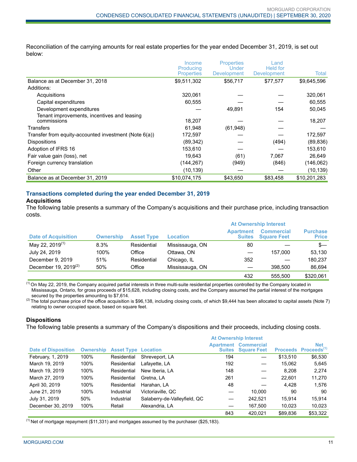Reconciliation of the carrying amounts for real estate properties for the year ended December 31, 2019, is set out below:

|                                                            | Income                         | <b>Properties</b>    | Land                           |              |
|------------------------------------------------------------|--------------------------------|----------------------|--------------------------------|--------------|
|                                                            | Producing<br><b>Properties</b> | Under<br>Development | <b>Held for</b><br>Development | Total        |
| Balance as at December 31, 2018                            | \$9,511,302                    | \$56,717             | \$77,577                       | \$9,645,596  |
| Additions:                                                 |                                |                      |                                |              |
| Acquisitions                                               | 320,061                        |                      |                                | 320,061      |
| Capital expenditures                                       | 60,555                         |                      |                                | 60,555       |
| Development expenditures                                   |                                | 49,891               | 154                            | 50,045       |
| Tenant improvements, incentives and leasing<br>commissions | 18,207                         |                      |                                | 18,207       |
| Transfers                                                  | 61,948                         | (61, 948)            |                                |              |
| Transfer from equity-accounted investment (Note 6(a))      | 172,597                        |                      |                                | 172,597      |
| <b>Dispositions</b>                                        | (89, 342)                      |                      | (494)                          | (89, 836)    |
| Adoption of IFRS 16                                        | 153,610                        |                      |                                | 153,610      |
| Fair value gain (loss), net                                | 19.643                         | (61)                 | 7,067                          | 26,649       |
| Foreign currency translation                               | (144,267)                      | (949)                | (846)                          | (146,062)    |
| Other                                                      | (10, 139)                      |                      |                                | (10, 139)    |
| Balance as at December 31, 2019                            | \$10,074,175                   | \$43,650             | \$83,458                       | \$10,201,283 |

#### **Transactions completed during the year ended December 31, 2019 Acquisitions**

The following table presents a summary of the Company's acquisitions and their purchase price, including transaction costs.

|                             |                  |                   |                 | <b>At Ownership Interest</b>      |                                         |                                 |
|-----------------------------|------------------|-------------------|-----------------|-----------------------------------|-----------------------------------------|---------------------------------|
| <b>Date of Acquisition</b>  | <b>Ownership</b> | <b>Asset Type</b> | <b>Location</b> | <b>Apartment</b><br><b>Suites</b> | <b>Commercial</b><br><b>Square Feet</b> | <b>Purchase</b><br><b>Price</b> |
| May 22, 2019 <sup>(1)</sup> | 8.3%             | Residential       | Mississauga, ON | 80                                |                                         | s—                              |
| July 24, 2019               | 100%             | Office            | Ottawa, ON      |                                   | 157.000                                 | 53.130                          |
| December 9, 2019            | 51%              | Residential       | Chicago, IL     | 352                               |                                         | 180.237                         |
| December 19, $2019^{(2)}$   | 50%              | Office            | Mississauga, ON |                                   | 398,500                                 | 86,694                          |
|                             |                  |                   |                 | 432                               | 555.500                                 | \$320.061                       |

(1) On May 22, 2019, the Company acquired partial interests in three multi-suite residential properties controlled by the Company located in Mississauga, Ontario, for gross proceeds of \$15,628, including closing costs, and the Company assumed the partial interest of the mortgages secured by the properties amounting to \$7,614.

 $^{(2)}$  The total purchase price of the office acquisition is \$96,138, including closing costs, of which \$9,444 has been allocated to capital assets (Note 7) relating to owner occupied space, based on square feet.

#### **Dispositions**

The following table presents a summary of the Company's dispositions and their proceeds, including closing costs.

|                            |                  |                            | <b>At Ownership Interest</b> |                   |                                                   |          |                                                |
|----------------------------|------------------|----------------------------|------------------------------|-------------------|---------------------------------------------------|----------|------------------------------------------------|
| <b>Date of Disposition</b> | <b>Ownership</b> | <b>Asset Type Location</b> |                              | <b>Suites</b>     | <b>Apartment Commercial</b><br><b>Square Feet</b> |          | <b>Net</b><br>Proceeds Proceeds <sup>(1)</sup> |
| February, 1, 2019          | 100%             | Residential                | Shreveport, LA               | 194               |                                                   | \$13,510 | \$6,530                                        |
| March 19, 2019             | 100%             | Residential                | Lafayette, LA                | 192               | –                                                 | 15.062   | 5,645                                          |
| March 19, 2019             | 100%             | Residential                | New Iberia, LA               | 148               |                                                   | 8.208    | 2,274                                          |
| March 27, 2019             | 100%             | Residential                | Gretna, LA                   | 261               |                                                   | 22.601   | 11,270                                         |
| April 30, 2019             | 100%             | Residential                | Harahan, LA                  | 48                |                                                   | 4.428    | 1.576                                          |
| June 21, 2019              | 100%             | Industrial                 | Victoriaville, QC            |                   | 10.000                                            | 90       | 90                                             |
| July 31, 2019              | 50%              | Industrial                 | Salaberry-de-Valleyfield, QC |                   | 242.521                                           | 15.914   | 15.914                                         |
| December 30, 2019          | 100%             | Retail                     | Alexandria, LA               | $\hspace{0.05cm}$ | 167.500                                           | 10.023   | 10.023                                         |
|                            |                  |                            |                              | 843               | 420.021                                           | \$89,836 | \$53,322                                       |

 $<sup>(1)</sup>$  Net of mortgage repayment (\$11,331) and mortgages assumed by the purchaser (\$25,183).</sup>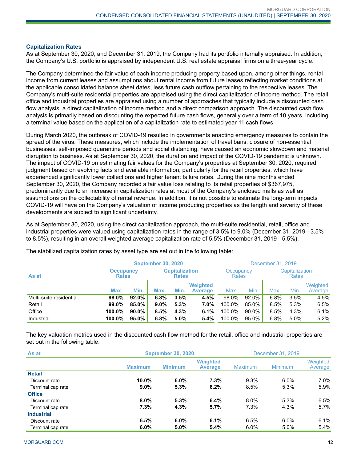#### **Capitalization Rates**

As at September 30, 2020, and December 31, 2019, the Company had its portfolio internally appraised. In addition, the Company's U.S. portfolio is appraised by independent U.S. real estate appraisal firms on a three-year cycle.

The Company determined the fair value of each income producing property based upon, among other things, rental income from current leases and assumptions about rental income from future leases reflecting market conditions at the applicable consolidated balance sheet dates, less future cash outflow pertaining to the respective leases. The Company's multi-suite residential properties are appraised using the direct capitalization of income method. The retail, office and industrial properties are appraised using a number of approaches that typically include a discounted cash flow analysis, a direct capitalization of income method and a direct comparison approach. The discounted cash flow analysis is primarily based on discounting the expected future cash flows, generally over a term of 10 years, including a terminal value based on the application of a capitalization rate to estimated year 11 cash flows.

During March 2020, the outbreak of COVID-19 resulted in governments enacting emergency measures to contain the spread of the virus. These measures, which include the implementation of travel bans, closure of non-essential businesses, self-imposed quarantine periods and social distancing, have caused an economic slowdown and material disruption to business. As at September 30, 2020, the duration and impact of the COVID-19 pandemic is unknown. The impact of COVID-19 on estimating fair values for the Company's properties at September 30, 2020, required judgment based on evolving facts and available information, particularly for the retail properties, which have experienced significantly lower collections and higher tenant failure rates. During the nine months ended September 30, 2020, the Company recorded a fair value loss relating to its retail properties of \$367,975, predominantly due to an increase in capitalization rates at most of the Company's enclosed malls as well as assumptions on the collectability of rental revenue. In addition, it is not possible to estimate the long-term impacts COVID-19 will have on the Company's valuation of income producing properties as the length and severity of these developments are subject to significant uncertainty.

As at September 30, 2020, using the direct capitalization approach, the multi-suite residential, retail, office and industrial properties were valued using capitalization rates in the range of 3.5% to 9.0% (December 31, 2019 - 3.5% to 8.5%), resulting in an overall weighted average capitalization rate of 5.5% (December 31, 2019 - 5.5%).

|                         | <b>September 30, 2020</b>        |          |                                       |      |                                   | December 31, 2019 |                                |      |         |                     |
|-------------------------|----------------------------------|----------|---------------------------------------|------|-----------------------------------|-------------------|--------------------------------|------|---------|---------------------|
| As at                   | <b>Occupancy</b><br><b>Rates</b> |          | <b>Capitalization</b><br><b>Rates</b> |      | Occupancy<br><b>Rates</b>         |                   | Capitalization<br><b>Rates</b> |      |         |                     |
|                         | Max.                             | Min.     | Max.                                  | Min. | <b>Weighted</b><br><b>Average</b> | Max.              | Min.                           | Max. | Min.    | Weighted<br>Average |
| Multi-suite residential | 98.0%                            | 92.0%    | 6.8%                                  | 3.5% | 4.5%                              | 98.0%             | 92.0%                          | 6.8% | 3.5%    | 4.5%                |
| Retail                  | 99.0%                            | 85.0%    | $9.0\%$                               | 5.3% | 7.0%                              | 100.0%            | 85.0%                          | 8.5% | 5.3%    | 6.5%                |
| Office                  | 100.0%                           | $90.0\%$ | 8.5%                                  | 4.3% | 6.1%                              | 100.0%            | 90.0%                          | 8.5% | 4.3%    | 6.1%                |
| Industrial              | 100.0%                           | 95.0%    | 6.8%                                  | 5.0% | 5.4%                              | 100.0%            | 95.0%                          | 6.8% | $5.0\%$ | 5.2%                |

The stabilized capitalization rates by asset type are set out in the following table:

The key valuation metrics used in the discounted cash flow method for the retail, office and industrial properties are set out in the following table:

| As at             | <b>September 30, 2020</b> | December 31, 2019 |                                   |         |                |                     |
|-------------------|---------------------------|-------------------|-----------------------------------|---------|----------------|---------------------|
|                   | <b>Maximum</b>            | <b>Minimum</b>    | <b>Weighted</b><br><b>Average</b> | Maximum | <b>Minimum</b> | Weighted<br>Average |
| <b>Retail</b>     |                           |                   |                                   |         |                |                     |
| Discount rate     | $10.0\%$                  | 6.0%              | 7.3%                              | 9.3%    | $6.0\%$        | $7.0\%$             |
| Terminal cap rate | $9.0\%$                   | 5.3%              | 6.2%                              | 8.5%    | 5.3%           | 5.9%                |
| <b>Office</b>     |                           |                   |                                   |         |                |                     |
| Discount rate     | $8.0\%$                   | 5.3%              | 6.4%                              | $8.0\%$ | 5.3%           | 6.5%                |
| Terminal cap rate | 7.3%                      | 4.3%              | 5.7%                              | 7.3%    | 4.3%           | 5.7%                |
| <b>Industrial</b> |                           |                   |                                   |         |                |                     |
| Discount rate     | 6.5%                      | $6.0\%$           | 6.1%                              | 6.5%    | 6.0%           | 6.1%                |
| Terminal cap rate | 6.0%                      | 5.0%              | 5.4%                              | $6.0\%$ | 5.0%           | 5.4%                |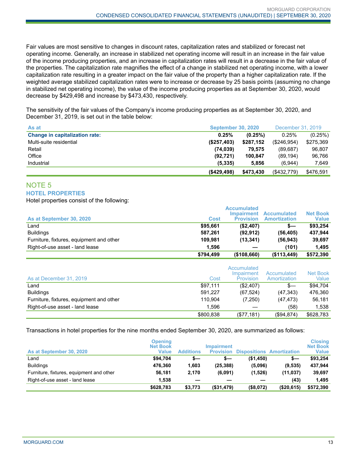Fair values are most sensitive to changes in discount rates, capitalization rates and stabilized or forecast net operating income. Generally, an increase in stabilized net operating income will result in an increase in the fair value of the income producing properties, and an increase in capitalization rates will result in a decrease in the fair value of the properties. The capitalization rate magnifies the effect of a change in stabilized net operating income, with a lower capitalization rate resulting in a greater impact on the fair value of the property than a higher capitalization rate. If the weighted average stabilized capitalization rates were to increase or decrease by 25 basis points (assuming no change in stabilized net operating income), the value of the income producing properties as at September 30, 2020, would decrease by \$429,498 and increase by \$473,430, respectively.

The sensitivity of the fair values of the Company's income producing properties as at September 30, 2020, and December 31, 2019, is set out in the table below:

| As at                                 | <b>September 30, 2020</b> |           | December 31, 2019 |           |
|---------------------------------------|---------------------------|-----------|-------------------|-----------|
| <b>Change in capitalization rate:</b> | 0.25%                     | (0.25%)   | 0.25%             | (0.25%)   |
| Multi-suite residential               | (S257, 403)               | \$287,152 | (\$246,954)       | \$275,369 |
| Retail                                | (74, 039)                 | 79.575    | (89,687)          | 96.807    |
| Office                                | (92, 721)                 | 100.847   | (89, 194)         | 96,766    |
| Industrial                            | (5, 335)                  | 5.856     | (6.944)           | 7.649     |
|                                       | (S429.498)                | \$473.430 | (\$432,779)       | \$476.591 |

#### NOTE 5 **HOTEL PROPERTIES**

Hotel properties consist of the following:

| As at September 30, 2020                 | Cost      | <b>Accumulated</b><br>Impairment<br><b>Provision</b> | <b>Accumulated</b><br><b>Amortization</b> | <b>Net Book</b><br><b>Value</b> |
|------------------------------------------|-----------|------------------------------------------------------|-------------------------------------------|---------------------------------|
| Land                                     | \$95.661  | (\$2,407)                                            | s—                                        | \$93.254                        |
| <b>Buildings</b>                         | 587.261   | (92.912)                                             | (56.405)                                  | 437.944                         |
| Furniture, fixtures, equipment and other | 109.981   | (13.341)                                             | (56, 943)                                 | 39.697                          |
| Right-of-use asset - land lease          | 1.596     |                                                      | (101)                                     | 1.495                           |
|                                          | \$794,499 | (\$108,660)                                          | (\$113,449)                               | \$572,390                       |

| As at December 31, 2019                  | Cost      | Accumulated<br>Impairment<br>Provision | Accumulated<br>Amortization | Net Book<br>Value |
|------------------------------------------|-----------|----------------------------------------|-----------------------------|-------------------|
| Land                                     | \$97,111  | (\$2,407)                              | $S-$                        | \$94.704          |
| <b>Buildings</b>                         | 591.227   | (67.524)                               | (47, 343)                   | 476,360           |
| Furniture, fixtures, equipment and other | 110.904   | (7,250)                                | (47, 473)                   | 56,181            |
| Right-of-use asset - land lease          | 1.596     |                                        | (58)                        | 1.538             |
|                                          | \$800,838 | (S77, 181)                             | (\$94,874)                  | \$628,783         |

Transactions in hotel properties for the nine months ended September 30, 2020, are summarized as follows:

| As at September 30, 2020                 | <b>Opening</b><br><b>Net Book</b><br>Value | <b>Additions</b> | <b>Impairment</b><br><b>Provision</b> |           | <b>Dispositions Amortization</b> | <b>Closing</b><br><b>Net Book</b><br><b>Value</b> |
|------------------------------------------|--------------------------------------------|------------------|---------------------------------------|-----------|----------------------------------|---------------------------------------------------|
| ∟and                                     | \$94.704                                   | s—               | s—                                    | (\$1,450) | s—                               | \$93.254                                          |
| <b>Buildings</b>                         | 476.360                                    | 1,603            | (25, 388)                             | (5,096)   | (9, 535)                         | 437.944                                           |
| Furniture, fixtures, equipment and other | 56,181                                     | 2.170            | (6,091)                               | (1,526)   | (11, 037)                        | 39,697                                            |
| Right-of-use asset - land lease          | 1.538                                      |                  |                                       |           | (43)                             | 1.495                                             |
|                                          | \$628,783                                  | \$3,773          | (\$31,479)                            | (\$8,072) | (\$20,615)                       | \$572,390                                         |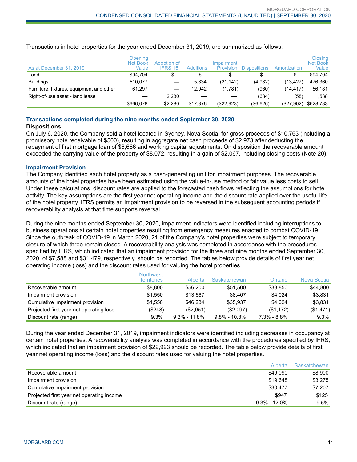| As at December 31, 2019                  | Openina<br><b>Net Book</b><br>Value | Adoption of<br><b>IFRS 16</b> | <b>Additions</b> | Impairment<br>Provision | <b>Dispositions</b> | Amortization | Closing<br><b>Net Book</b><br>Value |
|------------------------------------------|-------------------------------------|-------------------------------|------------------|-------------------------|---------------------|--------------|-------------------------------------|
| Land                                     | \$94.704                            | s—                            | $s-$             | S—                      | S—                  | $s-$         | \$94.704                            |
| <b>Buildings</b>                         | 510.077                             |                               | 5.834            | (21, 142)               | (4,982)             | (13, 427)    | 476.360                             |
| Furniture, fixtures, equipment and other | 61.297                              |                               | 12.042           | (1,781)                 | (960)               | (14.417)     | 56.181                              |
| Right-of-use asset - land lease          |                                     | 2.280                         |                  |                         | (684)               | (58)         | 1,538                               |
|                                          | \$666.078                           | \$2.280                       | \$17.876         | (\$22,923)              | (\$6,626)           | (\$27,902)   | \$628,783                           |

Transactions in hotel properties for the year ended December 31, 2019, are summarized as follows:

#### **Transactions completed during the nine months ended September 30, 2020**

#### **Dispositions**

On July 6, 2020, the Company sold a hotel located in Sydney, Nova Scotia, for gross proceeds of \$10,763 (including a promissory note receivable of \$500), resulting in aggregate net cash proceeds of \$2,973 after deducting the repayment of first mortgage loan of \$6,666 and working capital adjustments. On disposition the recoverable amount exceeded the carrying value of the property of \$8,072, resulting in a gain of \$2,067, including closing costs (Note 20).

#### **Impairment Provision**

The Company identified each hotel property as a cash-generating unit for impairment purposes. The recoverable amounts of the hotel properties have been estimated using the value-in-use method or fair value less costs to sell. Under these calculations, discount rates are applied to the forecasted cash flows reflecting the assumptions for hotel activity. The key assumptions are the first year net operating income and the discount rate applied over the useful life of the hotel property. IFRS permits an impairment provision to be reversed in the subsequent accounting periods if recoverability analysis at that time supports reversal.

During the nine months ended September 30, 2020, impairment indicators were identified including interruptions to business operations at certain hotel properties resulting from emergency measures enacted to combat COVID-19. Since the outbreak of COVID-19 in March 2020, 21 of the Company's hotel properties were subject to temporary closure of which three remain closed. A recoverability analysis was completed in accordance with the procedures specified by IFRS, which indicated that an impairment provision for the three and nine months ended September 30, 2020, of \$7,588 and \$31,479, respectively, should be recorded. The tables below provide details of first year net operating income (loss) and the discount rates used for valuing the hotel properties.

|                                         | <b>Northwest</b><br><b>Territories</b> | Alberta          | Saskatchewan     | Ontario         | Nova Scotia |
|-----------------------------------------|----------------------------------------|------------------|------------------|-----------------|-------------|
| Recoverable amount                      | \$8,800                                | \$56,200         | \$51.500         | \$38,850        | \$44,800    |
| Impairment provision                    | \$1.550                                | \$13.667         | \$8.407          | \$4.024         | \$3,831     |
| Cumulative impairment provision         | \$1.550                                | \$46.234         | \$35.937         | \$4.024         | \$3,831     |
| Projected first year net operating loss | (\$248)                                | (\$2,951)        | (\$2,097)        | (\$1,172)       | (\$1,471)   |
| Discount rate (range)                   | 9.3%                                   | $9.3\% - 11.8\%$ | $9.8\% - 10.8\%$ | $7.3\% - 8.8\%$ | 9.3%        |

During the year ended December 31, 2019, impairment indicators were identified including decreases in occupancy at certain hotel properties. A recoverability analysis was completed in accordance with the procedures specified by IFRS, which indicated that an impairment provision of \$22,923 should be recorded. The table below provide details of first year net operating income (loss) and the discount rates used for valuing the hotel properties.

|                                           | Alberta          | Saskatchewan |
|-------------------------------------------|------------------|--------------|
| Recoverable amount                        | \$49.090         | \$8,900      |
| Impairment provision                      | \$19,648         | \$3.275      |
| Cumulative impairment provision           | \$30.477         | \$7.207      |
| Projected first year net operating income | \$947            | \$125        |
| Discount rate (range)                     | $9.3\% - 12.0\%$ | 9.5%         |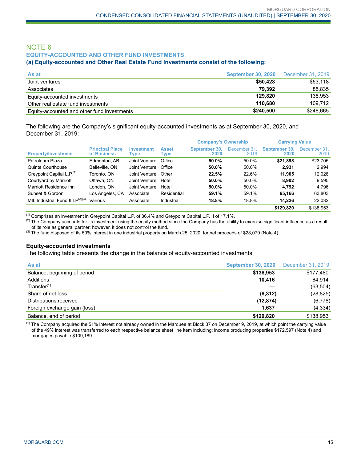## NOTE 6 **EQUITY-ACCOUNTED AND OTHER FUND INVESTMENTS**

#### **(a) Equity-accounted and Other Real Estate Fund Investments consist of the following:**

| As at                                       | <b>September 30, 2020</b> | December 31, 2019 |
|---------------------------------------------|---------------------------|-------------------|
| Joint ventures                              | \$50,428                  | \$53,118          |
| Associates                                  | 79.392                    | 85.835            |
| Equity-accounted investments                | 129.820                   | 138.953           |
| Other real estate fund investments          | 110.680                   | 109.712           |
| Equity-accounted and other fund investments | \$240,500                 | \$248.665         |

The following are the Company's significant equity-accounted investments as at September 30, 2020, and December 31, 2019:

|                                       |                                       |                    |                      | <b>Company's Ownership</b> |                      | <b>Carrying Value</b> |                      |
|---------------------------------------|---------------------------------------|--------------------|----------------------|----------------------------|----------------------|-----------------------|----------------------|
| <b>Property/Investment</b>            | <b>Principal Place</b><br>of Business | Investment<br>Type | <b>Asset</b><br>Type | September 30.<br>2020      | December 31.<br>2019 | September 30.<br>2020 | December 31.<br>2019 |
| Petroleum Plaza                       | Edmonton, AB                          | Joint Venture      | Office               | 50.0%                      | 50.0%                | \$21.898              | \$23,705             |
| Quinte Courthouse                     | Belleville, ON                        | Joint Venture      | Office               | 50.0%                      | 50.0%                | 2.931                 | 2.994                |
| Greypoint Capital L.P. <sup>(1)</sup> | Toronto, ON                           | Joint Venture      | Other                | 22.5%                      | 22.6%                | 11.905                | 12.028               |
| Courtyard by Marriott                 | Ottawa, ON                            | Joint Venture      | Hotel                | 50.0%                      | 50.0%                | 8.902                 | 9,595                |
| Marriott Residence Inn                | London, ON                            | Joint Venture      | Hotel                | 50.0%                      | 50.0%                | 4.792                 | 4.796                |
| Sunset & Gordon                       | Los Angeles, CA                       | Associate          | Residential          | 59.1%                      | 59.1%                | 65.166                | 63,803               |
| MIL Industrial Fund II $LP^{(2)(3)}$  | Various                               | Associate          | Industrial           | 18.8%                      | 18.8%                | 14.226                | 22,032               |
|                                       |                                       |                    |                      |                            |                      | \$129.820             | \$138.953            |

 $^{(1)}$  Comprises an investment in Greypoint Capital L.P. of 36.4% and Greypoint Capital L.P. II of 17.1%.

 $^{(2)}$  The Company accounts for its investment using the equity method since the Company has the ability to exercise significant influence as a result of its role as general partner; however, it does not control the fund.

<sup>(3)</sup> The fund disposed of its 50% interest in one industrial property on March 25, 2020, for net proceeds of \$28,079 (Note 4).

#### **Equity-accounted investments**

The following table presents the change in the balance of equity-accounted investments:

| As at                        | <b>September 30, 2020</b> | December 31, 2019 |
|------------------------------|---------------------------|-------------------|
| Balance, beginning of period | \$138,953                 | \$177,480         |
| Additions                    | 10.416                    | 64.914            |
| Transfer <sup>(1)</sup>      |                           | (63, 504)         |
| Share of net loss            | (8,312)                   | (28, 825)         |
| Distributions received       | (12, 874)                 | (6,778)           |
| Foreign exchange gain (loss) | 1,637                     | (4, 334)          |
| Balance, end of period       | \$129.820                 | \$138,953         |

 $<sup>(1)</sup>$  The Company acquired the 51% interest not already owned in the Marquee at Block 37 on December 9, 2019, at which point the carrying value</sup> of the 49% interest was transferred to each respective balance sheet line item including: income producing properties \$172,597 (Note 4) and mortgages payable \$109,189.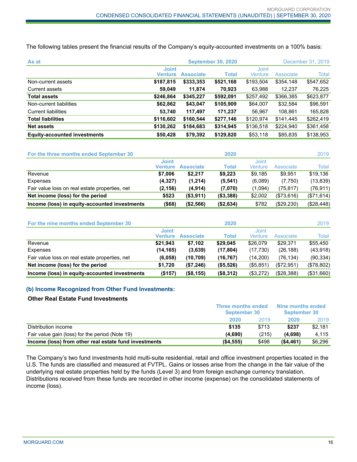The following tables present the financial results of the Company's equity-accounted investments on a 100% basis:

| As at                               | December 31, 2019<br><b>September 30, 2020</b> |                  |              |                         |           |           |
|-------------------------------------|------------------------------------------------|------------------|--------------|-------------------------|-----------|-----------|
|                                     | <b>Joint</b><br>Venture                        | <b>Associate</b> | <b>Total</b> | <b>Joint</b><br>Venture | Associate | Total     |
| Non-current assets                  | \$187,815                                      | \$333,353        | \$521,168    | \$193,504               | \$354,148 | \$547,652 |
| Current assets                      | 59,049                                         | 11.874           | 70,923       | 63,988                  | 12,237    | 76,225    |
| <b>Total assets</b>                 | \$246,864                                      | \$345,227        | \$592,091    | \$257,492               | \$366,385 | \$623,877 |
| Non-current liabilities             | \$62,862                                       | \$43,047         | \$105,909    | \$64,007                | \$32,584  | \$96,591  |
| <b>Current liabilities</b>          | 53,740                                         | 117,497          | 171,237      | 56,967                  | 108,861   | 165,828   |
| <b>Total liabilities</b>            | \$116,602                                      | \$160.544        | \$277,146    | \$120,974               | \$141.445 | \$262,419 |
| <b>Net assets</b>                   | \$130,262                                      | \$184,683        | \$314,945    | \$136,518               | \$224,940 | \$361,458 |
| <b>Equity-accounted investments</b> | \$50,428                                       | \$79,392         | \$129,820    | \$53,118                | \$85,835  | \$138,953 |

| For the three months ended September 30        |                         |                  | 2020         |                  |            | 2019       |
|------------------------------------------------|-------------------------|------------------|--------------|------------------|------------|------------|
|                                                | <b>Joint</b><br>Venture | <b>Associate</b> | <b>Total</b> | Joint<br>Venture | Associate  | Total      |
| Revenue                                        | \$7,006                 | \$2.217          | \$9.223      | \$9.185          | \$9,951    | \$19,136   |
| Expenses                                       | (4,327)                 | (1,214)          | (5, 541)     | (6.089)          | (7,750)    | (13, 839)  |
| Fair value loss on real estate properties, net | (2, 156)                | (4, 914)         | (7,070)      | (1,094)          | (75, 817)  | (76, 911)  |
| Net income (loss) for the period               | \$523                   | ( \$3, 911)      | ( \$3,388)   | \$2,002          | (\$73,616) | (\$71,614) |
| Income (loss) in equity-accounted investments  | $($ \$68)               | (\$2,566)        | (\$2,634)    | \$782            | (\$29,230) | (\$28,448) |

| For the nine months ended September 30         |                         |                  | 2020      |                  |            | 2019       |
|------------------------------------------------|-------------------------|------------------|-----------|------------------|------------|------------|
|                                                | <b>Joint</b><br>Venture | <b>Associate</b> | Total     | Joint<br>Venture | Associate  | Total      |
| Revenue                                        | \$21,943                | \$7.102          | \$29.045  | \$26,079         | \$29.371   | \$55,450   |
| Expenses                                       | (14, 165)               | (3,639)          | (17, 804) | (17,730)         | (26, 188)  | (43,918)   |
| Fair value loss on real estate properties, net | (6,058)                 | (10, 709)        | (16, 767) | (14,200)         | (76, 134)  | (90, 334)  |
| Net income (loss) for the period               | \$1.720                 | (\$7,246)        | (\$5,526) | (\$5,851)        | (\$72,951) | (\$78,802) |
| Income (loss) in equity-accounted investments  | (\$157)                 | (\$8,155)        | (\$8,312) | (\$3,272)        | (\$28,388) | (\$31,660) |

#### **(b) Income Recognized from Other Fund Investments:**

### **Other Real Estate Fund Investments**

|                                                       | <b>Three months ended</b><br><b>September 30</b> |       | Nine months ended<br><b>September 30</b> |         |
|-------------------------------------------------------|--------------------------------------------------|-------|------------------------------------------|---------|
|                                                       | 2020                                             | 2019  | 2020                                     | 2019    |
| Distribution income                                   | \$135                                            | \$713 | \$237                                    | \$2.181 |
| Fair value gain (loss) for the period (Note 19)       | (4.690)                                          | (215) | (4.698)                                  | 4.115   |
| Income (loss) from other real estate fund investments | (\$4,555)                                        | \$498 | ( \$4,461)                               | \$6,296 |

The Company's two fund investments hold multi-suite residential, retail and office investment properties located in the U.S. The funds are classified and measured at FVTPL. Gains or losses arise from the change in the fair value of the underlying real estate properties held by the funds (Level 3) and from foreign exchange currency translation. Distributions received from these funds are recorded in other income (expense) on the consolidated statements of income (loss).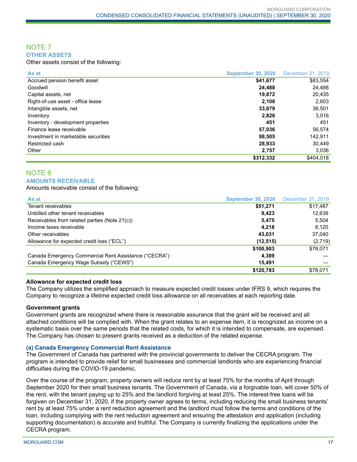#### NOTE 7 **OTHER ASSETS**

Other assets consist of the following:

| As at                               | <b>September 30, 2020</b> | December 31, 2019 |
|-------------------------------------|---------------------------|-------------------|
| Accrued pension benefit asset       | \$41,677                  | \$83.554          |
| Goodwill                            | 24.488                    | 24,488            |
| Capital assets, net                 | 19,872                    | 20,435            |
| Right-of-use asset - office lease   | 2.108                     | 2,603             |
| Intangible assets, net              | 33,679                    | 36,501            |
| Inventory                           | 2,826                     | 3.016             |
| Inventory - development properties  | 451                       | 451               |
| Finance lease receivable            | 57,036                    | 56.574            |
| Investment in marketable securities | 98,505                    | 142,911           |
| Restricted cash                     | 28,933                    | 30,449            |
| Other                               | 2.757                     | 3.036             |
|                                     | \$312,332                 | \$404.018         |

## NOTE 8 **AMOUNTS RECEIVABLE**

Amounts receivable consist of the following:

| As at                                                 | <b>September 30, 2020</b> | December 31, 2019 |
|-------------------------------------------------------|---------------------------|-------------------|
| Tenant receivables                                    | \$51,271                  | \$17,487          |
| Unbilled other tenant receivables                     | 9.423                     | 12,639            |
| Receivables from related parties (Note 21(c))         | 5.475                     | 5,504             |
| Income taxes receivable                               | 4.218                     | 8.120             |
| Other receivables                                     | 43.031                    | 37.040            |
| Allowance for expected credit loss ("ECL")            | (12, 515)                 | (2,719)           |
|                                                       | \$100,903                 | \$78,071          |
| Canada Emergency Commercial Rent Assistance ("CECRA") | 4.389                     |                   |
| Canada Emergency Wage Subsidy ("CEWS")                | 15.491                    |                   |
|                                                       | \$120,783                 | \$78,071          |

#### **Allowance for expected credit loss**

The Company utilizes the simplified approach to measure expected credit losses under IFRS 9, which requires the Company to recognize a lifetime expected credit loss allowance on all receivables at each reporting date.

#### **Government grants**

Government grants are recognized where there is reasonable assurance that the grant will be received and all attached conditions will be complied with. When the grant relates to an expense item, it is recognized as income on a systematic basis over the same periods that the related costs, for which it is intended to compensate, are expensed. The Company has chosen to present grants received as a deduction of the related expense.

#### **(a) Canada Emergency Commercial Rent Assistance**

The Government of Canada has partnered with the provincial governments to deliver the CECRA program. The program is intended to provide relief for small businesses and commercial landlords who are experiencing financial difficulties during the COVID-19 pandemic.

Over the course of the program, property owners will reduce rent by at least 75% for the months of April through September 2020 for their small business tenants. The Government of Canada, via a forgivable loan, will cover 50% of the rent, with the tenant paying up to 25% and the landlord forgiving at least 25%. The interest-free loans will be forgiven on December 31, 2020, if the property owner agrees to terms, including reducing the small business tenants' rent by at least 75% under a rent reduction agreement and the landlord must follow the terms and conditions of the loan, including complying with the rent reduction agreement and ensuring the attestation and application (including supporting documentation) is accurate and truthful. The Company is currently finalizing the applications under the CECRA program.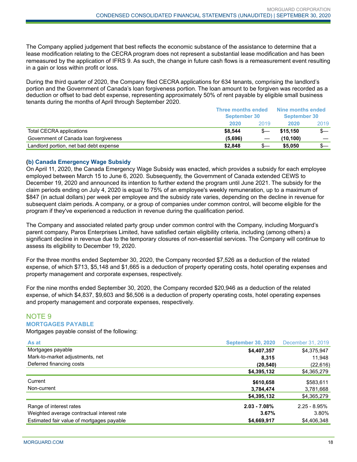The Company applied judgement that best reflects the economic substance of the assistance to determine that a lease modification relating to the CECRA program does not represent a substantial lease modification and has been remeasured by the application of IFRS 9. As such, the change in future cash flows is a remeasurement event resulting in a gain or loss within profit or loss.

During the third quarter of 2020, the Company filed CECRA applications for 634 tenants, comprising the landlord's portion and the Government of Canada's loan forgiveness portion. The loan amount to be forgiven was recorded as a deduction or offset to bad debt expense, representing approximately 50% of rent payable by eligible small business tenants during the months of April through September 2020.

|                                        | Three months ended<br>September 30 |      | Nine months ended<br><b>September 30</b> |      |
|----------------------------------------|------------------------------------|------|------------------------------------------|------|
|                                        | 2020                               | 2019 | 2020                                     | 2019 |
| Total CECRA applications               | \$8,544                            |      | \$15,150                                 | $s-$ |
| Government of Canada Ioan forgiveness  | (5,696)                            |      | (10.100)                                 |      |
| Landlord portion, net bad debt expense | \$2,848                            |      | \$5,050                                  | S—   |

#### **(b) Canada Emergency Wage Subsidy**

On April 11, 2020, the Canada Emergency Wage Subsidy was enacted, which provides a subsidy for each employee employed between March 15 to June 6, 2020. Subsequently, the Government of Canada extended CEWS to December 19, 2020 and announced its intention to further extend the program until June 2021. The subsidy for the claim periods ending on July 4, 2020 is equal to 75% of an employee's weekly remuneration, up to a maximum of \$847 (in actual dollars) per week per employee and the subsidy rate varies, depending on the decline in revenue for subsequent claim periods. A company, or a group of companies under common control, will become eligible for the program if they've experienced a reduction in revenue during the qualification period.

The Company and associated related party group under common control with the Company, including Morguard's parent company, Paros Enterprises Limited, have satisfied certain eligibility criteria, including (among others) a significant decline in revenue due to the temporary closures of non-essential services. The Company will continue to assess its eligibility to December 19, 2020.

For the three months ended September 30, 2020, the Company recorded \$7,526 as a deduction of the related expense, of which \$713, \$5,148 and \$1,665 is a deduction of property operating costs, hotel operating expenses and property management and corporate expenses, respectively.

For the nine months ended September 30, 2020, the Company recorded \$20,946 as a deduction of the related expense, of which \$4,837, \$9,603 and \$6,506 is a deduction of property operating costs, hotel operating expenses and property management and corporate expenses, respectively.

## NOTE 9 **MORTGAGES PAYABLE**

Mortgages payable consist of the following:

| As at                                      | <b>September 30, 2020</b> | December 31, 2019 |
|--------------------------------------------|---------------------------|-------------------|
| Mortgages payable                          | \$4,407,357               | \$4,375,947       |
| Mark-to-market adjustments, net            | 8,315                     | 11,948            |
| Deferred financing costs                   | (20, 540)                 | (22, 616)         |
|                                            | \$4,395,132               | \$4,365,279       |
| Current                                    | \$610,658                 | \$583,611         |
| Non-current                                | 3,784,474                 | 3,781,668         |
|                                            | \$4,395,132               | \$4,365,279       |
| Range of interest rates                    | $2.03 - 7.08%$            | $2.25 - 8.95%$    |
| Weighted average contractual interest rate | 3.67%                     | 3.80%             |
| Estimated fair value of mortgages payable  | \$4,669,917               | \$4,406,348       |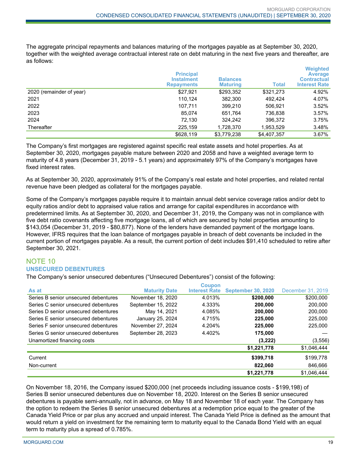The aggregate principal repayments and balances maturing of the mortgages payable as at September 30, 2020, together with the weighted average contractual interest rate on debt maturing in the next five years and thereafter, are as follows:

|                          | <b>Principal</b><br><b>Instalment</b><br><b>Repayments</b> | <b>Balances</b><br><b>Maturing</b> | <b>Total</b> | <b>Weighted</b><br><b>Average</b><br><b>Contractual</b><br><b>Interest Rate</b> |
|--------------------------|------------------------------------------------------------|------------------------------------|--------------|---------------------------------------------------------------------------------|
| 2020 (remainder of year) | \$27,921                                                   | \$293,352                          | \$321,273    | 4.92%                                                                           |
| 2021                     | 110.124                                                    | 382,300                            | 492.424      | 4.07%                                                                           |
| 2022                     | 107.711                                                    | 399,210                            | 506.921      | 3.52%                                                                           |
| 2023                     | 85,074                                                     | 651,764                            | 736,838      | 3.57%                                                                           |
| 2024                     | 72,130                                                     | 324.242                            | 396.372      | 3.75%                                                                           |
| Thereafter               | 225,159                                                    | 1,728,370                          | 1,953,529    | 3.48%                                                                           |
|                          | \$628,119                                                  | \$3,779,238                        | \$4,407,357  | $3.67\%$                                                                        |

The Company's first mortgages are registered against specific real estate assets and hotel properties. As at September 30, 2020, mortgages payable mature between 2020 and 2058 and have a weighted average term to maturity of 4.8 years (December 31, 2019 - 5.1 years) and approximately 97% of the Company's mortgages have fixed interest rates.

As at September 30, 2020, approximately 91% of the Company's real estate and hotel properties, and related rental revenue have been pledged as collateral for the mortgages payable.

Some of the Company's mortgages payable require it to maintain annual debt service coverage ratios and/or debt to equity ratios and/or debt to appraised value ratios and arrange for capital expenditures in accordance with predetermined limits. As at September 30, 2020, and December 31, 2019, the Company was not in compliance with five debt ratio covenants affecting five mortgage loans, all of which are secured by hotel properties amounting to \$143,054 (December 31, 2019 - \$80,877). None of the lenders have demanded payment of the mortgage loans. However, IFRS requires that the loan balance of mortgages payable in breach of debt covenants be included in the current portion of mortgages payable. As a result, the current portion of debt includes \$91,410 scheduled to retire after September 30, 2021.

## NOTE 10 **UNSECURED DEBENTURES**

The Company's senior unsecured debentures ("Unsecured Debentures") consist of the following:

|                                      |                      | <b>Coupon</b>        |                           |                   |
|--------------------------------------|----------------------|----------------------|---------------------------|-------------------|
| As at                                | <b>Maturity Date</b> | <b>Interest Rate</b> | <b>September 30, 2020</b> | December 31, 2019 |
| Series B senior unsecured debentures | November 18, 2020    | 4.013%               | \$200,000                 | \$200,000         |
| Series C senior unsecured debentures | September 15, 2022   | 4.333%               | 200.000                   | 200,000           |
| Series D senior unsecured debentures | May 14, 2021         | 4.085%               | 200.000                   | 200,000           |
| Series E senior unsecured debentures | January 25, 2024     | 4.715%               | 225.000                   | 225,000           |
| Series F senior unsecured debentures | November 27, 2024    | 4.204%               | 225,000                   | 225,000           |
| Series G senior unsecured debentures | September 28, 2023   | 4.402%               | 175.000                   |                   |
| Unamortized financing costs          |                      |                      | (3,222)                   | (3, 556)          |
|                                      |                      |                      | \$1,221,778               | \$1,046,444       |
| Current                              |                      |                      | \$399,718                 | \$199,778         |
| Non-current                          |                      |                      | 822.060                   | 846,666           |
|                                      |                      |                      | \$1,221,778               | \$1.046.444       |

On November 18, 2016, the Company issued \$200,000 (net proceeds including issuance costs - \$199,198) of Series B senior unsecured debentures due on November 18, 2020. Interest on the Series B senior unsecured debentures is payable semi-annually, not in advance, on May 18 and November 18 of each year. The Company has the option to redeem the Series B senior unsecured debentures at a redemption price equal to the greater of the Canada Yield Price or par plus any accrued and unpaid interest. The Canada Yield Price is defined as the amount that would return a yield on investment for the remaining term to maturity equal to the Canada Bond Yield with an equal term to maturity plus a spread of 0.785%.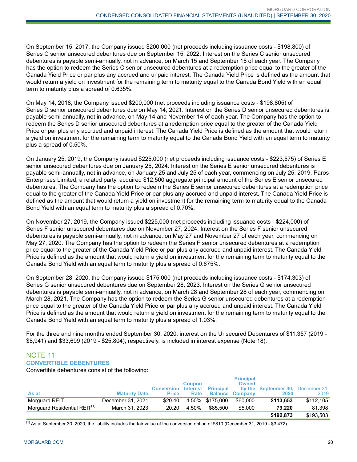On September 15, 2017, the Company issued \$200,000 (net proceeds including issuance costs - \$198,800) of Series C senior unsecured debentures due on September 15, 2022. Interest on the Series C senior unsecured debentures is payable semi-annually, not in advance, on March 15 and September 15 of each year. The Company has the option to redeem the Series C senior unsecured debentures at a redemption price equal to the greater of the Canada Yield Price or par plus any accrued and unpaid interest. The Canada Yield Price is defined as the amount that would return a yield on investment for the remaining term to maturity equal to the Canada Bond Yield with an equal term to maturity plus a spread of 0.635%.

On May 14, 2018, the Company issued \$200,000 (net proceeds including issuance costs - \$198,805) of Series D senior unsecured debentures due on May 14, 2021. Interest on the Series D senior unsecured debentures is payable semi-annually, not in advance, on May 14 and November 14 of each year. The Company has the option to redeem the Series D senior unsecured debentures at a redemption price equal to the greater of the Canada Yield Price or par plus any accrued and unpaid interest. The Canada Yield Price is defined as the amount that would return a yield on investment for the remaining term to maturity equal to the Canada Bond Yield with an equal term to maturity plus a spread of 0.50%.

On January 25, 2019, the Company issued \$225,000 (net proceeds including issuance costs - \$223,575) of Series E senior unsecured debentures due on January 25, 2024. Interest on the Series E senior unsecured debentures is payable semi-annually, not in advance, on January 25 and July 25 of each year, commencing on July 25, 2019. Paros Enterprises Limited, a related party, acquired \$12,500 aggregate principal amount of the Series E senior unsecured debentures. The Company has the option to redeem the Series E senior unsecured debentures at a redemption price equal to the greater of the Canada Yield Price or par plus any accrued and unpaid interest. The Canada Yield Price is defined as the amount that would return a yield on investment for the remaining term to maturity equal to the Canada Bond Yield with an equal term to maturity plus a spread of 0.70%.

On November 27, 2019, the Company issued \$225,000 (net proceeds including issuance costs - \$224,000) of Series F senior unsecured debentures due on November 27, 2024. Interest on the Series F senior unsecured debentures is payable semi-annually, not in advance, on May 27 and November 27 of each year, commencing on May 27, 2020. The Company has the option to redeem the Series F senior unsecured debentures at a redemption price equal to the greater of the Canada Yield Price or par plus any accrued and unpaid interest. The Canada Yield Price is defined as the amount that would return a yield on investment for the remaining term to maturity equal to the Canada Bond Yield with an equal term to maturity plus a spread of 0.675%.

On September 28, 2020, the Company issued \$175,000 (net proceeds including issuance costs - \$174,303) of Series G senior unsecured debentures due on September 28, 2023. Interest on the Series G senior unsecured debentures is payable semi-annually, not in advance, on March 28 and September 28 of each year, commencing on March 28, 2021. The Company has the option to redeem the Series G senior unsecured debentures at a redemption price equal to the greater of the Canada Yield Price or par plus any accrued and unpaid interest. The Canada Yield Price is defined as the amount that would return a yield on investment for the remaining term to maturity equal to the Canada Bond Yield with an equal term to maturity plus a spread of 1.03%.

For the three and nine months ended September 30, 2020, interest on the Unsecured Debentures of \$11,357 (2019 - \$8,941) and \$33,699 (2019 - \$25,804), respectively, is included in interest expense (Note 18).

## NOTE 11 **CONVERTIBLE DEBENTURES**

Convertible debentures consist of the following:

|                                          |                      | <b>Conversion</b> | <b>Coupon</b> | Interest Principal | <b>Principal</b><br><b>Owned</b> | by the September 30, December 31, |           |
|------------------------------------------|----------------------|-------------------|---------------|--------------------|----------------------------------|-----------------------------------|-----------|
| As at                                    | <b>Maturity Date</b> | <b>Price</b>      | Rate          |                    | <b>Balance Company</b>           | 2020                              | 2019      |
| Morguard REIT                            | December 31, 2021    | \$20.40           |               | 4.50% \$175.000    | \$60,000                         | \$113,653                         | \$112.105 |
| Morguard Residential REIT <sup>(1)</sup> | March 31, 2023       | 20.20             | 4.50%         | \$85.500           | \$5,000                          | 79.220                            | 81.398    |
|                                          |                      |                   |               |                    |                                  | \$192.873                         | \$193,503 |

 $<sup>(1)</sup>$  As at September 30, 2020, the liability includes the fair value of the conversion option of \$810 (December 31, 2019 - \$3,472).</sup>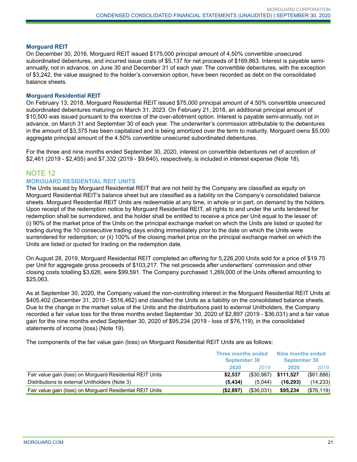#### **Morguard REIT**

On December 30, 2016, Morguard REIT issued \$175,000 principal amount of 4.50% convertible unsecured subordinated debentures, and incurred issue costs of \$5,137 for net proceeds of \$169,863. Interest is payable semiannually, not in advance, on June 30 and December 31 of each year. The convertible debentures, with the exception of \$3,242, the value assigned to the holder's conversion option, have been recorded as debt on the consolidated balance sheets.

#### **Morguard Residential REIT**

On February 13, 2018, Morguard Residential REIT issued \$75,000 principal amount of 4.50% convertible unsecured subordinated debentures maturing on March 31, 2023. On February 21, 2018, an additional principal amount of \$10,500 was issued pursuant to the exercise of the over-allotment option. Interest is payable semi-annually, not in advance, on March 31 and September 30 of each year. The underwriter's commission attributable to the debentures in the amount of \$3,375 has been capitalized and is being amortized over the term to maturity. Morguard owns \$5,000 aggregate principal amount of the 4.50% convertible unsecured subordinated debentures.

For the three and nine months ended September 30, 2020, interest on convertible debentures net of accretion of \$2,461 (2019 - \$2,455) and \$7,332 (2019 - \$9,640), respectively, is included in interest expense (Note 18).

### NOTE 12

#### **MORGUARD RESIDENTIAL REIT UNITS**

The Units issued by Morguard Residential REIT that are not held by the Company are classified as equity on Morguard Residential REIT's balance sheet but are classified as a liability on the Company's consolidated balance sheets. Morguard Residential REIT Units are redeemable at any time, in whole or in part, on demand by the holders. Upon receipt of the redemption notice by Morguard Residential REIT, all rights to and under the units tendered for redemption shall be surrendered, and the holder shall be entitled to receive a price per Unit equal to the lesser of: (i) 90% of the market price of the Units on the principal exchange market on which the Units are listed or quoted for trading during the 10 consecutive trading days ending immediately prior to the date on which the Units were surrendered for redemption; or (ii) 100% of the closing market price on the principal exchange market on which the Units are listed or quoted for trading on the redemption date.

On August 28, 2019, Morguard Residential REIT completed an offering for 5,226,200 Units sold for a price of \$19.75 per Unit for aggregate gross proceeds of \$103,217. The net proceeds after underwriters' commission and other closing costs totalling \$3,626, were \$99,591. The Company purchased 1,269,000 of the Units offered amounting to \$25,063.

As at September 30, 2020, the Company valued the non-controlling interest in the Morguard Residential REIT Units at \$405,402 (December 31, 2019 - \$516,462) and classified the Units as a liability on the consolidated balance sheets. Due to the change in the market value of the Units and the distributions paid to external Unitholders, the Company recorded a fair value loss for the three months ended September 30, 2020 of \$2,897 (2019 - \$36,031) and a fair value gain for the nine months ended September 30, 2020 of \$95,234 (2019 - loss of \$76,119), in the consolidated statements of income (loss) (Note 19).

The components of the fair value gain (loss) on Morguard Residential REIT Units are as follows:

|                                                           | <b>Three months ended</b><br><b>September 30</b> |                         | Nine months ended<br><b>September 30</b> |              |
|-----------------------------------------------------------|--------------------------------------------------|-------------------------|------------------------------------------|--------------|
|                                                           | 2020                                             | 2019                    | 2020                                     | 2019         |
| Fair value gain (loss) on Morguard Residential REIT Units | \$2.537                                          | $(\$30,987)$ $$111,527$ |                                          | (\$61,886)   |
| Distributions to external Unitholders (Note 3)            | (5.434)                                          | (5.044)                 | (16.293)                                 | (14, 233)    |
| Fair value gain (loss) on Morguard Residential REIT Units | (\$2,897)                                        | (\$36,031)              | \$95,234                                 | $(\$76,119)$ |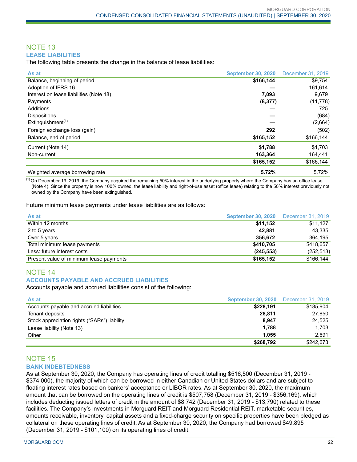#### NOTE 13 **LEASE LIABILITIES**

The following table presents the change in the balance of lease liabilities:

| As at                                      | <b>September 30, 2020</b> | December 31, 2019 |
|--------------------------------------------|---------------------------|-------------------|
| Balance, beginning of period               | \$166,144                 | \$9,754           |
| Adoption of IFRS 16                        |                           | 161,614           |
| Interest on lease liabilities (Note 18)    | 7,093                     | 9,679             |
| Payments                                   | (8, 377)                  | (11, 778)         |
| Additions                                  |                           | 725               |
| <b>Dispositions</b>                        |                           | (684)             |
| Extinguishment <sup><math>(1)</math></sup> |                           | (2,664)           |
| Foreign exchange loss (gain)               | 292                       | (502)             |
| Balance, end of period                     | \$165,152                 | \$166,144         |
| Current (Note 14)                          | \$1,788                   | \$1,703           |
| Non-current                                | 163,364                   | 164,441           |
|                                            | \$165,152                 | \$166,144         |
| Weighted average borrowing rate            | 5.72%                     | 5.72%             |

 $<sup>(1)</sup>$  On December 19, 2019, the Company acquired the remaining 50% interest in the underlying property where the Company has an office lease</sup> (Note 4). Since the property is now 100% owned, the lease liability and right-of-use asset (office lease) relating to the 50% interest previously not owned by the Company have been extinguished.

Future minimum lease payments under lease liabilities are as follows:

| As at                                   | <b>September 30, 2020</b> December 31, 2019 |            |
|-----------------------------------------|---------------------------------------------|------------|
| Within 12 months                        | \$11,152                                    | \$11,127   |
| 2 to 5 years                            | 42.881                                      | 43,335     |
| Over 5 years                            | 356.672                                     | 364,195    |
| Total minimum lease payments            | \$410,705                                   | \$418,657  |
| Less: future interest costs             | (245, 553)                                  | (252, 513) |
| Present value of minimum lease payments | \$165,152                                   | \$166,144  |

#### NOTE 14 **ACCOUNTS PAYABLE AND ACCRUED LIABILITIES**

Accounts payable and accrued liabilities consist of the following:

| As at                                        | <b>September 30, 2020</b> December 31, 2019 |           |
|----------------------------------------------|---------------------------------------------|-----------|
| Accounts payable and accrued liabilities     | \$228,191                                   | \$185,904 |
| Tenant deposits                              | 28.811                                      | 27.850    |
| Stock appreciation rights ("SARs") liability | 8.947                                       | 24.525    |
| Lease liability (Note 13)                    | 1.788                                       | 1.703     |
| Other                                        | 1.055                                       | 2.691     |
|                                              | \$268,792                                   | \$242.673 |

#### NOTE 15 **BANK INDEBTEDNESS**

As at September 30, 2020, the Company has operating lines of credit totalling \$516,500 (December 31, 2019 - \$374,000), the majority of which can be borrowed in either Canadian or United States dollars and are subject to floating interest rates based on bankers' acceptance or LIBOR rates. As at September 30, 2020, the maximum amount that can be borrowed on the operating lines of credit is \$507,758 (December 31, 2019 - \$356,169), which includes deducting issued letters of credit in the amount of \$8,742 (December 31, 2019 - \$13,790) related to these facilities. The Company's investments in Morguard REIT and Morguard Residential REIT, marketable securities, amounts receivable, inventory, capital assets and a fixed-charge security on specific properties have been pledged as collateral on these operating lines of credit. As at September 30, 2020, the Company had borrowed \$49,895 (December 31, 2019 - \$101,100) on its operating lines of credit.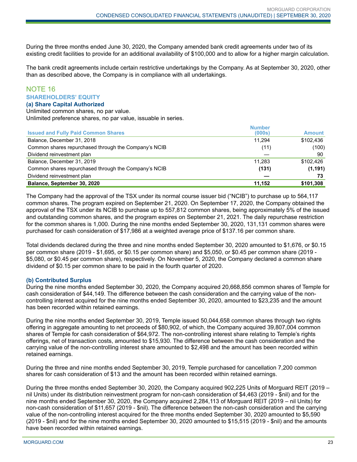During the three months ended June 30, 2020, the Company amended bank credit agreements under two of its existing credit facilities to provide for an additional availability of \$100,000 and to allow for a higher margin calculation.

The bank credit agreements include certain restrictive undertakings by the Company. As at September 30, 2020, other than as described above, the Company is in compliance with all undertakings.

## NOTE 16 **SHAREHOLDERS' EQUITY**

#### **(a) Share Capital Authorized**

Unlimited common shares, no par value. Unlimited preference shares, no par value, issuable in series.

| <b>Number</b> |               |
|---------------|---------------|
|               | <b>Amount</b> |
| 11.294        | \$102,436     |
| (11)          | (100)         |
|               | 90            |
| 11.283        | \$102.426     |
| (131)         | (1, 191)      |
|               | 73            |
| 11,152        | \$101,308     |
|               | (000s)        |

The Company had the approval of the TSX under its normal course issuer bid ("NCIB") to purchase up to 564,117 common shares. The program expired on September 21, 2020. On September 17, 2020, the Company obtained the approval of the TSX under its NCIB to purchase up to 557,812 common shares, being approximately 5% of the issued and outstanding common shares, and the program expires on September 21, 2021. The daily repurchase restriction for the common shares is 1,000. During the nine months ended September 30, 2020, 131,131 common shares were purchased for cash consideration of \$17,986 at a weighted average price of \$137.16 per common share.

Total dividends declared during the three and nine months ended September 30, 2020 amounted to \$1,676, or \$0.15 per common share (2019 - \$1,695, or \$0.15 per common share) and \$5,050, or \$0.45 per common share (2019 - \$5,080, or \$0.45 per common share), respectively. On November 5, 2020, the Company declared a common share dividend of \$0.15 per common share to be paid in the fourth quarter of 2020.

#### **(b) Contributed Surplus**

During the nine months ended September 30, 2020, the Company acquired 20,668,856 common shares of Temple for cash consideration of \$44,149. The difference between the cash consideration and the carrying value of the noncontrolling interest acquired for the nine months ended September 30, 2020, amounted to \$23,235 and the amount has been recorded within retained earnings.

During the nine months ended September 30, 2019, Temple issued 50,044,658 common shares through two rights offering in aggregate amounting to net proceeds of \$80,902, of which, the Company acquired 39,807,004 common shares of Temple for cash consideration of \$64,972. The non-controlling interest share relating to Temple's rights offerings, net of transaction costs, amounted to \$15,930. The difference between the cash consideration and the carrying value of the non-controlling interest share amounted to \$2,498 and the amount has been recorded within retained earnings.

During the three and nine months ended September 30, 2019, Temple purchased for cancellation 7,200 common shares for cash consideration of \$13 and the amount has been recorded within retained earnings.

During the three months ended September 30, 2020, the Company acquired 902,225 Units of Morguard REIT (2019 – nil Units) under its distribution reinvestment program for non-cash consideration of \$4,463 (2019 - \$nil) and for the nine months ended September 30, 2020, the Company acquired 2,284,113 of Morguard REIT (2019 – nil Units) for non-cash consideration of \$11,657 (2019 - \$nil). The difference between the non-cash consideration and the carrying value of the non-controlling interest acquired for the three months ended September 30, 2020 amounted to \$5,590 (2019 - \$nil) and for the nine months ended September 30, 2020 amounted to \$15,515 (2019 - \$nil) and the amounts have been recorded within retained earnings.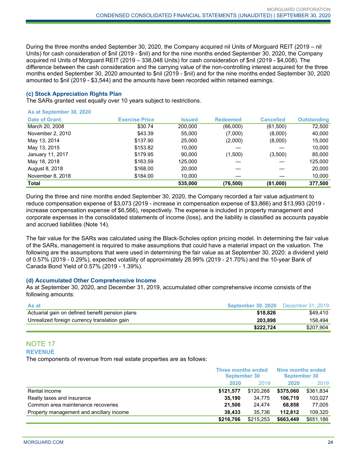During the three months ended September 30, 2020, the Company acquired nil Units of Morguard REIT (2019 – nil Units) for cash consideration of \$nil (2019 - \$nil) and for the nine months ended September 30, 2020, the Company acquired nil Units of Morguard REIT (2019 – 338,048 Units) for cash consideration of \$nil (2019 - \$4,008). The difference between the cash consideration and the carrying value of the non-controlling interest acquired for the three months ended September 30, 2020 amounted to \$nil (2019 - \$nil) and for the nine months ended September 30, 2020 amounted to \$nil (2019 - \$3,544) and the amounts have been recorded within retained earnings.

#### **(c) Stock Appreciation Rights Plan**

The SARs granted vest equally over 10 years subject to restrictions.

| As at September 30, 2020 |                       |               |                 |                  |                    |
|--------------------------|-----------------------|---------------|-----------------|------------------|--------------------|
| <b>Date of Grant</b>     | <b>Exercise Price</b> | <b>Issued</b> | <b>Redeemed</b> | <b>Cancelled</b> | <b>Outstanding</b> |
| March 20, 2008           | \$30.74               | 200,000       | (66,000)        | (61,500)         | 72,500             |
| November 2, 2010         | \$43.39               | 55.000        | (7,000)         | (8,000)          | 40,000             |
| May 13, 2014             | \$137.90              | 25,000        | (2,000)         | (8,000)          | 15,000             |
| May 13, 2015             | \$153.82              | 10.000        |                 |                  | 10,000             |
| January 11, 2017         | \$179.95              | 90.000        | (1,500)         | (3,500)          | 85,000             |
| May 18, 2018             | \$163.59              | 125,000       |                 |                  | 125,000            |
| August 8, 2018           | \$168.00              | 20,000        |                 |                  | 20,000             |
| November 8, 2018         | \$184.00              | 10,000        |                 |                  | 10,000             |
| <b>Total</b>             |                       | 535,000       | (76,500)        | (81,000)         | 377,500            |

During the three and nine months ended September 30, 2020, the Company recorded a fair value adjustment to reduce compensation expense of \$3,073 (2019 - increase in compensation expense of \$3,866) and \$13,993 (2019 increase compensation expense of \$6,566), respectively. The expense is included in property management and corporate expenses in the consolidated statements of income (loss), and the liability is classified as accounts payable and accrued liabilities (Note 14).

The fair value for the SARs was calculated using the Black-Scholes option pricing model. In determining the fair value of the SARs, management is required to make assumptions that could have a material impact on the valuation. The following are the assumptions that were used in determining the fair value as at September 30, 2020: a dividend yield of 0.57% (2019 - 0.29%), expected volatility of approximately 28.99% (2019 - 21.70%) and the 10-year Bank of Canada Bond Yield of 0.57% (2019 - 1.39%).

#### **(d) Accumulated Other Comprehensive Income**

As at September 30, 2020, and December 31, 2019, accumulated other comprehensive income consists of the following amounts:

| <b>As at</b>                                    | September 30, 2020 | December 31, 2019 |
|-------------------------------------------------|--------------------|-------------------|
| Actuarial gain on defined benefit pension plans | \$18.826           | \$49.410          |
| Unrealized foreign currency translation gain    | 203.898            | 158.494           |
|                                                 | \$222.724          | \$207.904         |

#### NOTE 17 **REVENUE**

The components of revenue from real estate properties are as follows:

|                                          | <b>Three months ended</b><br><b>September 30</b> |           | Nine months ended<br><b>September 30</b> |           |
|------------------------------------------|--------------------------------------------------|-----------|------------------------------------------|-----------|
|                                          | 2020                                             | 2019      | 2020                                     | 2019      |
| Rental income                            | \$121.577                                        | \$120,268 | \$375,060                                | \$361,834 |
| Realty taxes and insurance               | 35.190                                           | 34,775    | 106.719                                  | 103.027   |
| Common area maintenance recoveries       | 21.506                                           | 24.474    | 68.858                                   | 77.005    |
| Property management and ancillary income | 38.433                                           | 35.736    | 112.812                                  | 109.320   |
|                                          | \$216,706                                        | \$215,253 | \$663,449                                | \$651,186 |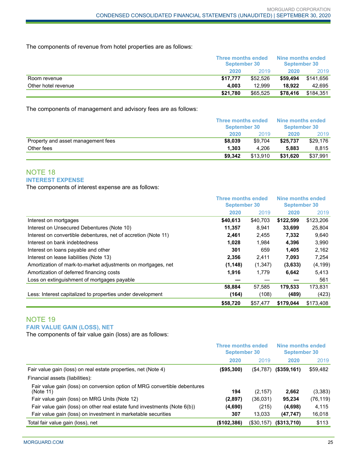The components of revenue from hotel properties are as follows:

|                     |          | <b>Three months ended</b><br>September 30 |          | Nine months ended<br>September 30 |
|---------------------|----------|-------------------------------------------|----------|-----------------------------------|
|                     | 2020     | 2019                                      | 2020     | 2019                              |
| Room revenue        | \$17.777 | \$52.526                                  | \$59,494 | \$141.656                         |
| Other hotel revenue | 4.003    | 12.999                                    | 18.922   | 42.695                            |
|                     | \$21.780 | \$65.525                                  | \$78,416 | \$184.351                         |

The components of management and advisory fees are as follows:

|                                    | <b>Three months ended</b><br>September 30 |          | Nine months ended<br>September 30 |          |
|------------------------------------|-------------------------------------------|----------|-----------------------------------|----------|
|                                    |                                           |          |                                   |          |
|                                    | 2020                                      | 2019     | 2020                              | 2019     |
| Property and asset management fees | \$8,039                                   | \$9.704  | \$25.737                          | \$29,176 |
| Other fees                         | 1.303                                     | 4.206    | 5.883                             | 8.815    |
|                                    | \$9.342                                   | \$13,910 | \$31,620                          | \$37,991 |

## NOTE 18 **INTEREST EXPENSE**

The components of interest expense are as follows:

|                                                                | <b>Three months ended</b><br><b>September 30</b> |          | Nine months ended<br><b>September 30</b> |           |
|----------------------------------------------------------------|--------------------------------------------------|----------|------------------------------------------|-----------|
|                                                                | 2020                                             | 2019     | 2020                                     | 2019      |
| Interest on mortgages                                          | \$40,613                                         | \$40,703 | \$122,599                                | \$123,206 |
| Interest on Unsecured Debentures (Note 10)                     | 11,357                                           | 8.941    | 33,699                                   | 25,804    |
| Interest on convertible debentures, net of accretion (Note 11) | 2.461                                            | 2,455    | 7,332                                    | 9,640     |
| Interest on bank indebtedness                                  | 1,028                                            | 1,984    | 4,396                                    | 3,990     |
| Interest on loans payable and other                            | 301                                              | 659      | 1.405                                    | 2,162     |
| Interest on lease liabilities (Note 13)                        | 2,356                                            | 2,411    | 7,093                                    | 7,254     |
| Amortization of mark-to-market adjustments on mortgages, net   | (1, 148)                                         | (1,347)  | (3,633)                                  | (4, 199)  |
| Amortization of deferred financing costs                       | 1,916                                            | 1.779    | 6,642                                    | 5,413     |
| Loss on extinguishment of mortgages payable                    |                                                  |          |                                          | 561       |
|                                                                | 58,884                                           | 57,585   | 179,533                                  | 173,831   |
| Less: Interest capitalized to properties under development     | (164)                                            | (108)    | (489)                                    | (423)     |
|                                                                | \$58,720                                         | \$57.477 | \$179.044                                | \$173,408 |

## NOTE 19 **FAIR VALUE GAIN (LOSS), NET**

The components of fair value gain (loss) are as follows:

|                                                                                        | <b>Three months ended</b><br><b>September 30</b> |              | Nine months ended<br><b>September 30</b> |           |
|----------------------------------------------------------------------------------------|--------------------------------------------------|--------------|------------------------------------------|-----------|
|                                                                                        | 2020                                             | 2019         | 2020                                     | 2019      |
| Fair value gain (loss) on real estate properties, net (Note 4)                         | $($ \$95,300)                                    | (\$4,787)    | $($ \$359,161)                           | \$59,482  |
| Financial assets (liabilities):                                                        |                                                  |              |                                          |           |
| Fair value gain (loss) on conversion option of MRG convertible debentures<br>(Note 11) | 194                                              | (2, 157)     | 2,662                                    | (3,383)   |
| Fair value gain (loss) on MRG Units (Note 12)                                          | (2,897)                                          | (36,031)     | 95.234                                   | (76, 119) |
| Fair value gain (loss) on other real estate fund investments (Note 6(b))               | (4,690)                                          | (215)        | (4,698)                                  | 4,115     |
| Fair value gain (loss) on investment in marketable securities                          | 307                                              | 13.033       | (47, 747)                                | 16,018    |
| Total fair value gain (loss), net                                                      | (\$102,386)                                      | $(\$30,157)$ | $($ \$313,710)                           | \$113     |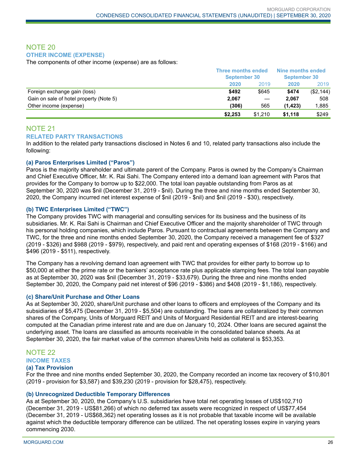### NOTE 20 **OTHER INCOME (EXPENSE)**

The components of other income (expense) are as follows:

|                                         | <b>Three months ended</b><br><b>September 30</b> |         | Nine months ended<br><b>September 30</b> |           |
|-----------------------------------------|--------------------------------------------------|---------|------------------------------------------|-----------|
|                                         | 2020                                             | 2019    | 2020                                     | 2019      |
| Foreign exchange gain (loss)            | \$492                                            | \$645   | \$474                                    | (\$2,144) |
| Gain on sale of hotel property (Note 5) | 2,067                                            |         | 2.067                                    | 508       |
| Other income (expense)                  | (306)                                            | 565     | (1, 423)                                 | 1,885     |
|                                         | \$2.253                                          | \$1.210 | \$1.118                                  | \$249     |

## NOTE 21

#### **RELATED PARTY TRANSACTIONS**

In addition to the related party transactions disclosed in Notes 6 and 10, related party transactions also include the following:

#### **(a) Paros Enterprises Limited ("Paros")**

Paros is the majority shareholder and ultimate parent of the Company. Paros is owned by the Company's Chairman and Chief Executive Officer, Mr. K. Rai Sahi. The Company entered into a demand loan agreement with Paros that provides for the Company to borrow up to \$22,000. The total loan payable outstanding from Paros as at September 30, 2020 was \$nil (December 31, 2019 - \$nil). During the three and nine months ended September 30, 2020, the Company incurred net interest expense of \$nil (2019 - \$nil) and \$nil (2019 - \$30), respectively.

#### **(b) TWC Enterprises Limited ("TWC")**

The Company provides TWC with managerial and consulting services for its business and the business of its subsidiaries. Mr. K. Rai Sahi is Chairman and Chief Executive Officer and the majority shareholder of TWC through his personal holding companies, which include Paros. Pursuant to contractual agreements between the Company and TWC, for the three and nine months ended September 30, 2020, the Company received a management fee of \$327 (2019 - \$326) and \$988 (2019 - \$979), respectively, and paid rent and operating expenses of \$168 (2019 - \$166) and \$496 (2019 - \$511), respectively.

The Company has a revolving demand loan agreement with TWC that provides for either party to borrow up to \$50,000 at either the prime rate or the bankers' acceptance rate plus applicable stamping fees. The total loan payable as at September 30, 2020 was \$nil (December 31, 2019 - \$33,679). During the three and nine months ended September 30, 2020, the Company paid net interest of \$96 (2019 - \$386) and \$408 (2019 - \$1,186), respectively.

#### **(c) Share/Unit Purchase and Other Loans**

As at September 30, 2020, share/Unit purchase and other loans to officers and employees of the Company and its subsidiaries of \$5,475 (December 31, 2019 - \$5,504) are outstanding. The loans are collateralized by their common shares of the Company, Units of Morguard REIT and Units of Morguard Residential REIT and are interest-bearing computed at the Canadian prime interest rate and are due on January 10, 2024. Other loans are secured against the underlying asset. The loans are classified as amounts receivable in the consolidated balance sheets. As at September 30, 2020, the fair market value of the common shares/Units held as collateral is \$53,353.

### NOTE 22 **INCOME TAXES**

#### **(a) Tax Provision**

For the three and nine months ended September 30, 2020, the Company recorded an income tax recovery of \$10,801 (2019 - provision for \$3,587) and \$39,230 (2019 - provision for \$28,475), respectively.

#### **(b) Unrecognized Deductible Temporary Differences**

As at September 30, 2020, the Company's U.S. subsidiaries have total net operating losses of US\$102,710 (December 31, 2019 - US\$81,266) of which no deferred tax assets were recognized in respect of US\$77,454 (December 31, 2019 - US\$68,362) net operating losses as it is not probable that taxable income will be available against which the deductible temporary difference can be utilized. The net operating losses expire in varying years commencing 2030.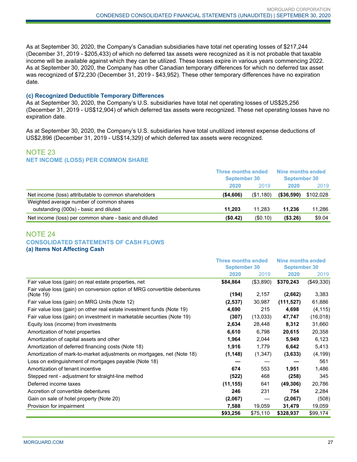As at September 30, 2020, the Company's Canadian subsidiaries have total net operating losses of \$217,244 (December 31, 2019 - \$205,433) of which no deferred tax assets were recognized as it is not probable that taxable income will be available against which they can be utilized. These losses expire in various years commencing 2022. As at September 30, 2020, the Company has other Canadian temporary differences for which no deferred tax asset was recognized of \$72,230 (December 31, 2019 - \$43,952). These other temporary differences have no expiration date.

#### **(c) Recognized Deductible Temporary Differences**

As at September 30, 2020, the Company's U.S. subsidiaries have total net operating losses of US\$25,256 (December 31, 2019 - US\$12,904) of which deferred tax assets were recognized. These net operating losses have no expiration date.

As at September 30, 2020, the Company's U.S. subsidiaries have total unutilized interest expense deductions of US\$2,896 (December 31, 2019 - US\$14,329) of which deferred tax assets were recognized.

## NOTE 23 **NET INCOME (LOSS) PER COMMON SHARE**

|                                                        | Three months ended<br><b>September 30</b> |            | Nine months ended<br><b>September 30</b> |           |
|--------------------------------------------------------|-------------------------------------------|------------|------------------------------------------|-----------|
|                                                        | 2020                                      | 2019       | 2020                                     | 2019      |
| Net income (loss) attributable to common shareholders  | ( \$4,606)                                | ( \$1,180) | ( \$36,590)                              | \$102,028 |
| Weighted average number of common shares               |                                           |            |                                          |           |
| outstanding (000s) - basic and diluted                 | 11.203                                    | 11.283     | 11.236                                   | 11.286    |
| Net income (loss) per common share - basic and diluted | (\$0.42)                                  | (\$0.10)   | ( \$3.26)                                | \$9.04    |

#### NOTE 24 **CONSOLIDATED STATEMENTS OF CASH FLOWS (a) Items Not Affecting Cash**

|                                                                                        | <b>Three months ended</b> |           | Nine months ended   |            |  |
|----------------------------------------------------------------------------------------|---------------------------|-----------|---------------------|------------|--|
|                                                                                        | <b>September 30</b>       |           | <b>September 30</b> |            |  |
|                                                                                        | 2020                      | 2019      | 2020                | 2019       |  |
| Fair value loss (gain) on real estate properties, net                                  | \$84,864                  | (\$3,890) | \$370,243           | (\$49,330) |  |
| Fair value loss (gain) on conversion option of MRG convertible debentures<br>(Note 19) | (194)                     | 2,157     | (2,662)             | 3,383      |  |
| Fair value loss (gain) on MRG Units (Note 12)                                          | (2,537)                   | 30,987    | (111, 527)          | 61,886     |  |
| Fair value loss (gain) on other real estate investment funds (Note 19)                 | 4,690                     | 215       | 4,698               | (4, 115)   |  |
| Fair value loss (gain) on investment in marketable securities (Note 19)                | (307)                     | (13,033)  | 47,747              | (16,018)   |  |
| Equity loss (income) from investments                                                  | 2,634                     | 28,448    | 8,312               | 31,660     |  |
| Amortization of hotel properties                                                       | 6,610                     | 6,798     | 20,615              | 20,358     |  |
| Amortization of capital assets and other                                               | 1,964                     | 2,044     | 5,949               | 6,123      |  |
| Amortization of deferred financing costs (Note 18)                                     | 1,916                     | 1,779     | 6,642               | 5,413      |  |
| Amortization of mark-to-market adjustments on mortgages, net (Note 18)                 | (1, 148)                  | (1,347)   | (3,633)             | (4, 199)   |  |
| Loss on extinguishment of mortgages payable (Note 18)                                  |                           |           |                     | 561        |  |
| Amortization of tenant incentive                                                       | 674                       | 553       | 1,951               | 1,486      |  |
| Stepped rent - adjustment for straight-line method                                     | (522)                     | 468       | (258)               | 345        |  |
| Deferred income taxes                                                                  | (11, 155)                 | 641       | (49, 306)           | 20,786     |  |
| Accretion of convertible debentures                                                    | 246                       | 231       | 754                 | 2,284      |  |
| Gain on sale of hotel property (Note 20)                                               | (2,067)                   |           | (2,067)             | (508)      |  |
| Provision for impairment                                                               | 7,588                     | 19,059    | 31,479              | 19,059     |  |
|                                                                                        | \$93,256                  | \$75,110  | \$328,937           | \$99,174   |  |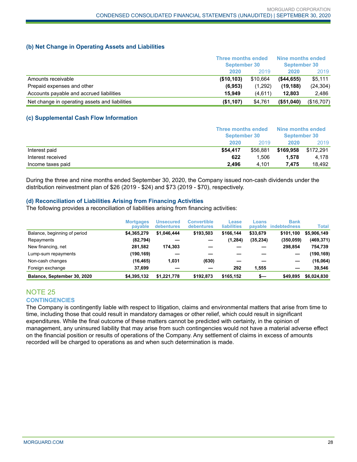#### **(b) Net Change in Operating Assets and Liabilities**

|                                                | <b>Three months ended</b><br><b>September 30</b> |          | Nine months ended<br><b>September 30</b> |            |
|------------------------------------------------|--------------------------------------------------|----------|------------------------------------------|------------|
|                                                | 2020                                             | 2019     | 2020                                     | 2019       |
| Amounts receivable                             | (\$10,103)                                       | \$10.664 | (S44.655)                                | \$5,111    |
| Prepaid expenses and other                     | (6,953)                                          | (1,292)  | (19, 188)                                | (24, 304)  |
| Accounts payable and accrued liabilities       | 15.949                                           | (4,611)  | 12.803                                   | 2,486      |
| Net change in operating assets and liabilities | (\$1,107)                                        | \$4,761  | $($ \$51,040)                            | (\$16,707) |

#### **(c) Supplemental Cash Flow Information**

|                   | <b>Three months ended</b><br>September 30 |          | Nine months ended<br>September 30 |           |
|-------------------|-------------------------------------------|----------|-----------------------------------|-----------|
|                   | 2020                                      | 2019     | 2020                              | 2019      |
| Interest paid     | \$54.417                                  | \$56,881 | \$169.958                         | \$172.291 |
| Interest received | 622                                       | 1.506    | 1.578                             | 4.178     |
| Income taxes paid | 2.496                                     | 4.101    | 7.475                             | 18.492    |

During the three and nine months ended September 30, 2020, the Company issued non-cash dividends under the distribution reinvestment plan of \$26 (2019 - \$24) and \$73 (2019 - \$70), respectively.

#### **(d) Reconciliation of Liabilities Arising from Financing Activities**

The following provides a reconciliation of liabilities arising from financing activities:

|                              | <b>Mortgages</b><br>payable | Unsecured<br>debentures | Convertible<br>debentures | Lease<br><b>liabilities</b> | Loans<br>payable | <b>Bank</b><br><b>indebtedness</b> | Total       |
|------------------------------|-----------------------------|-------------------------|---------------------------|-----------------------------|------------------|------------------------------------|-------------|
| Balance, beginning of period | \$4.365.279                 | \$1.046.444             | \$193,503                 | \$166.144                   | \$33,679         | \$101.100                          | \$5,906,149 |
| Repayments                   | (82, 794)                   |                         |                           | (1, 284)                    | (35, 234)        | (350, 059)                         | (469, 371)  |
| New financing, net           | 281,582                     | 174.303                 |                           |                             |                  | 298.854                            | 754.739     |
| Lump-sum repayments          | (190,169)                   |                         |                           |                             |                  |                                    | (190,169)   |
| Non-cash changes             | (16, 465)                   | 1,031                   | (630)                     |                             |                  |                                    | (16,064)    |
| Foreign exchange             | 37.699                      |                         |                           | 292                         | 1.555            | –                                  | 39.546      |
| Balance, September 30, 2020  | \$4.395.132                 | \$1.221.778             | \$192.873                 | \$165.152                   | s—               | \$49,895                           | \$6,024,830 |

## NOTE 25 **CONTINGENCIES**

The Company is contingently liable with respect to litigation, claims and environmental matters that arise from time to time, including those that could result in mandatory damages or other relief, which could result in significant expenditures. While the final outcome of these matters cannot be predicted with certainty, in the opinion of management, any uninsured liability that may arise from such contingencies would not have a material adverse effect on the financial position or results of operations of the Company. Any settlement of claims in excess of amounts recorded will be charged to operations as and when such determination is made.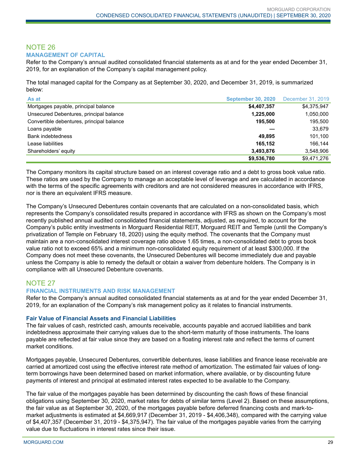#### NOTE 26 **MANAGEMENT OF CAPITAL**

Refer to the Company's annual audited consolidated financial statements as at and for the year ended December 31, 2019, for an explanation of the Company's capital management policy.

The total managed capital for the Company as at September 30, 2020, and December 31, 2019, is summarized below:

| As at                                     | <b>September 30, 2020</b> | December 31, 2019 |
|-------------------------------------------|---------------------------|-------------------|
| Mortgages payable, principal balance      | \$4,407,357               | \$4,375,947       |
| Unsecured Debentures, principal balance   | 1,225,000                 | 1,050,000         |
| Convertible debentures, principal balance | 195.500                   | 195.500           |
| Loans payable                             |                           | 33,679            |
| <b>Bank indebtedness</b>                  | 49.895                    | 101,100           |
| Lease liabilities                         | 165.152                   | 166.144           |
| Shareholders' equity                      | 3,493,876                 | 3.548.906         |
|                                           | \$9,536,780               | \$9,471,276       |

The Company monitors its capital structure based on an interest coverage ratio and a debt to gross book value ratio. These ratios are used by the Company to manage an acceptable level of leverage and are calculated in accordance with the terms of the specific agreements with creditors and are not considered measures in accordance with IFRS, nor is there an equivalent IFRS measure.

The Company's Unsecured Debentures contain covenants that are calculated on a non-consolidated basis, which represents the Company's consolidated results prepared in accordance with IFRS as shown on the Company's most recently published annual audited consolidated financial statements, adjusted, as required, to account for the Company's public entity investments in Morguard Residential REIT, Morguard REIT and Temple (until the Company's privatization of Temple on February 18, 2020) using the equity method. The covenants that the Company must maintain are a non-consolidated interest coverage ratio above 1.65 times, a non-consolidated debt to gross book value ratio not to exceed 65% and a minimum non-consolidated equity requirement of at least \$300,000. If the Company does not meet these covenants, the Unsecured Debentures will become immediately due and payable unless the Company is able to remedy the default or obtain a waiver from debenture holders. The Company is in compliance with all Unsecured Debenture covenants.

## NOTE 27

#### **FINANCIAL INSTRUMENTS AND RISK MANAGEMENT**

Refer to the Company's annual audited consolidated financial statements as at and for the year ended December 31, 2019, for an explanation of the Company's risk management policy as it relates to financial instruments.

#### **Fair Value of Financial Assets and Financial Liabilities**

The fair values of cash, restricted cash, amounts receivable, accounts payable and accrued liabilities and bank indebtedness approximate their carrying values due to the short-term maturity of those instruments. The loans payable are reflected at fair value since they are based on a floating interest rate and reflect the terms of current market conditions.

Mortgages payable, Unsecured Debentures, convertible debentures, lease liabilities and finance lease receivable are carried at amortized cost using the effective interest rate method of amortization. The estimated fair values of longterm borrowings have been determined based on market information, where available, or by discounting future payments of interest and principal at estimated interest rates expected to be available to the Company.

The fair value of the mortgages payable has been determined by discounting the cash flows of these financial obligations using September 30, 2020, market rates for debts of similar terms (Level 2). Based on these assumptions, the fair value as at September 30, 2020, of the mortgages payable before deferred financing costs and mark-tomarket adjustments is estimated at \$4,669,917 (December 31, 2019 - \$4,406,348), compared with the carrying value of \$4,407,357 (December 31, 2019 - \$4,375,947). The fair value of the mortgages payable varies from the carrying value due to fluctuations in interest rates since their issue.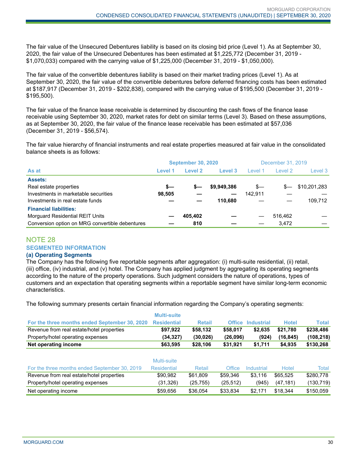The fair value of the Unsecured Debentures liability is based on its closing bid price (Level 1). As at September 30, 2020, the fair value of the Unsecured Debentures has been estimated at \$1,225,772 (December 31, 2019 - \$1,070,033) compared with the carrying value of \$1,225,000 (December 31, 2019 - \$1,050,000).

The fair value of the convertible debentures liability is based on their market trading prices (Level 1). As at September 30, 2020, the fair value of the convertible debentures before deferred financing costs has been estimated at \$187,917 (December 31, 2019 - \$202,838), compared with the carrying value of \$195,500 (December 31, 2019 - \$195,500).

The fair value of the finance lease receivable is determined by discounting the cash flows of the finance lease receivable using September 30, 2020, market rates for debt on similar terms (Level 3). Based on these assumptions, as at September 30, 2020, the fair value of the finance lease receivable has been estimated at \$57,036 (December 31, 2019 - \$56,574).

The fair value hierarchy of financial instruments and real estate properties measured at fair value in the consolidated balance sheets is as follows:

| <b>September 30, 2020</b>                       |         |         | December 31, 2019 |         |         |              |
|-------------------------------------------------|---------|---------|-------------------|---------|---------|--------------|
| As at                                           | Level 1 | Level 2 | Level 3           | Level 1 | Level 2 | Level 3      |
| <b>Assets:</b>                                  |         |         |                   |         |         |              |
| Real estate properties                          | s—      | s—      | \$9,949,386       | $s-$    | $S-$    | \$10,201,283 |
| Investments in marketable securities            | 98.505  |         |                   | 142.911 |         |              |
| Investments in real estate funds                |         |         | 110.680           |         |         | 109.712      |
| <b>Financial liabilities:</b>                   |         |         |                   |         |         |              |
| <b>Morguard Residential REIT Units</b>          |         | 405.402 |                   |         | 516,462 |              |
| Conversion option on MRG convertible debentures |         | 810     |                   |         | 3.472   |              |

## NOTE 28 **SEGMENTED INFORMATION**

#### **(a) Operating Segments**

The Company has the following five reportable segments after aggregation: (i) multi-suite residential, (ii) retail, (iii) office, (iv) industrial, and (v) hotel. The Company has applied judgment by aggregating its operating segments according to the nature of the property operations. Such judgment considers the nature of operations, types of customers and an expectation that operating segments within a reportable segment have similar long-term economic characteristics.

The following summary presents certain financial information regarding the Company's operating segments:

|                                               | Multi-suite        |               |               |                   |              |              |
|-----------------------------------------------|--------------------|---------------|---------------|-------------------|--------------|--------------|
| For the three months ended September 30, 2020 | <b>Residential</b> | <b>Retail</b> | <b>Office</b> | <b>Industrial</b> | <b>Hotel</b> | <b>Total</b> |
| Revenue from real estate/hotel properties     | \$97,922           | \$58,132      | \$58,017      | \$2,635           | \$21,780     | \$238,486    |
| Property/hotel operating expenses             | (34, 327)          | (30, 026)     | (26,096)      | (924)             | (16, 845)    | (108, 218)   |
| Net operating income                          | \$63,595           | \$28,106      | \$31,921      | \$1,711           | \$4,935      | \$130,268    |
|                                               |                    |               |               |                   |              |              |
|                                               | Multi-suite        |               |               |                   |              |              |
| For the three months ended September 30, 2019 | <b>Residential</b> | <b>Retail</b> | Office        | Industrial        | <b>Hotel</b> | <b>Total</b> |
| Revenue from real estate/hotel properties     | \$90,982           | \$61,809      | \$59,346      | \$3,116           | \$65,525     | \$280,778    |
| Property/hotel operating expenses             | (31,326)           | (25,755)      | (25, 512)     | (945)             | (47, 181)    | (130, 719)   |
| Net operating income                          | \$59,656           | \$36.054      | \$33.834      | \$2.171           | \$18.344     | \$150.059    |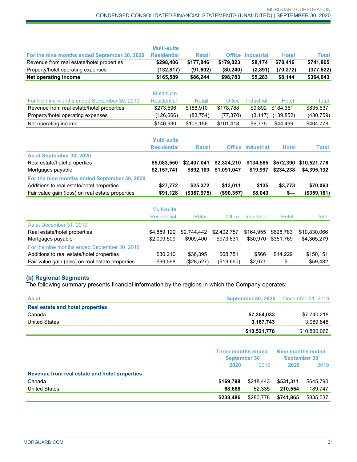|                                                  | <b>Multi-suite</b> |               |               |                          |               |              |
|--------------------------------------------------|--------------------|---------------|---------------|--------------------------|---------------|--------------|
| For the nine months ended September 30, 2020     | <b>Residential</b> | <b>Retail</b> |               | <b>Office Industrial</b> | <b>Hotel</b>  | <b>Total</b> |
| Revenue from real estate/hotel properties        | \$298,406          | \$177,846     | \$179,023     | \$8,174                  | \$78,416      | \$741,865    |
| Property/hotel operating expenses                | (132, 817)         | (91, 602)     | (80, 240)     | (2,891)                  | (70, 272)     | (377, 822)   |
| <b>Net operating income</b>                      | \$165,589          | \$86,244      | \$98,783      | \$5,283                  | \$8,144       | \$364,043    |
|                                                  |                    |               |               |                          |               |              |
|                                                  | Multi-suite        |               |               |                          |               |              |
| For the nine months ended September 30, 2019     | <b>Residential</b> | <b>Retail</b> | Office        | <b>Industrial</b>        | Hotel         | <b>Total</b> |
| Revenue from real estate/hotel properties        | \$273,596          | \$188,910     | \$178,788     | \$9,892                  | \$184,351     | \$835,537    |
| Property/hotel operating expenses                | (126, 666)         | (83, 754)     | (77, 370)     | (3, 117)                 | (139, 852)    | (430, 759)   |
| Net operating income                             | \$146,930          | \$105,156     | \$101,418     | \$6,775                  | \$44,499      | \$404,778    |
|                                                  |                    |               |               |                          |               |              |
|                                                  | <b>Multi-suite</b> |               |               |                          |               |              |
|                                                  | <b>Residential</b> | <b>Retail</b> |               | <b>Office Industrial</b> | <b>Hotel</b>  | <b>Total</b> |
| As at September 30, 2020                         |                    |               |               |                          |               |              |
| Real estate/hotel properties                     | \$5,083,550        | \$2,407,041   | \$2,324,210   | \$134.585                | \$572,390     | \$10,521,776 |
| Mortgages payable                                | \$2,157,741        | \$892,109     | \$1,091,047   | \$19,997                 | \$234,238     | \$4,395,132  |
| For the nine months ended September 30, 2020     |                    |               |               |                          |               |              |
| Additions to real estate/hotel properties        | \$27,772           | \$25,372      | \$13,011      | \$135                    | \$3,773       | \$70,063     |
| Fair value gain (loss) on real estate properties | \$91,128           | (\$367,975)   | (\$90,357)    | \$8,043                  | \$—           | (\$359,161)  |
|                                                  |                    |               |               |                          |               |              |
|                                                  | Multi-suite        |               |               |                          |               |              |
|                                                  | <b>Residential</b> | <b>Retail</b> | <b>Office</b> | <b>Industrial</b>        | <b>Hotel</b>  | Total        |
| As at December 31, 2019                          |                    |               |               |                          |               |              |
| Real estate/hotel properties                     | \$4,889,129        | \$2,744,442   | \$2,402,757   | \$164,955                | \$628,783     | \$10,830,066 |
| Mortgages payable                                | \$2,099,509        | \$909,400     | \$973,631     | \$30,970                 | \$351,769     | \$4,365,279  |
| For the nine months ended September 30, 2019     |                    |               |               |                          |               |              |
| Additions to real estate/hotel properties        | \$30,210           | \$36,395      | \$68,751      | \$566                    | \$14,229      | \$150,151    |
| Fair value gain (loss) on real estate properties | \$99,598           | (\$28,527)    | (\$13,660)    | \$2,071                  | $\frac{2}{3}$ | \$59,482     |

#### **(b) Regional Segments**

The following summary presents financial information by the regions in which the Company operates:

| As at                            | <b>September 30, 2020</b> | December 31, 2019 |
|----------------------------------|---------------------------|-------------------|
| Real estate and hotel properties |                           |                   |
| Canada                           | \$7,354,033               | \$7,740,218       |
| <b>United States</b>             | 3.167.743                 | 3,089,848         |
|                                  | \$10,521,776              | \$10,830,066      |

|                                               | Three months ended<br><b>September 30</b> |           | Nine months ended<br><b>September 30</b> |           |
|-----------------------------------------------|-------------------------------------------|-----------|------------------------------------------|-----------|
|                                               | 2020                                      | 2019      | 2020                                     | 2019      |
| Revenue from real estate and hotel properties |                                           |           |                                          |           |
| Canada                                        | \$169.798                                 | \$218,443 | \$531,311                                | \$645,790 |
| <b>United States</b>                          | 68.688                                    | 62.335    | 210.554                                  | 189,747   |
|                                               | \$238,486                                 | \$280,778 | \$741,865                                | \$835,537 |